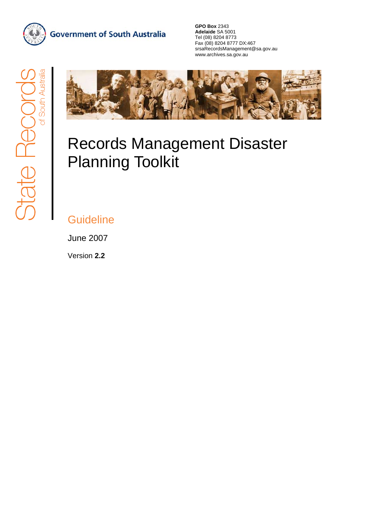

**Government of South Australia** 

**GPO Box** 2343 **Adelaide** SA 5001 Tel (08) 8204 8773 Fax (08) 8204 8777 DX:467 srsaRecordsManagement@sa.gov.au www.archives.sa.gov.au



# Records Management Disaster Planning Toolkit

# **Guideline**

June 2007

Version **2.2**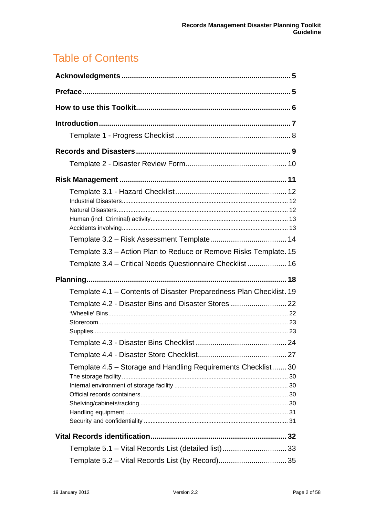# Table of Contents

| Template 3.3 – Action Plan to Reduce or Remove Risks Template. 15   |  |
|---------------------------------------------------------------------|--|
|                                                                     |  |
| Template 3.4 – Critical Needs Questionnaire Checklist 16            |  |
|                                                                     |  |
|                                                                     |  |
| Template 4.1 - Contents of Disaster Preparedness Plan Checklist. 19 |  |
| Template 4.2 - Disaster Bins and Disaster Stores  22                |  |
|                                                                     |  |
|                                                                     |  |
|                                                                     |  |
|                                                                     |  |
|                                                                     |  |
| Template 4.5 – Storage and Handling Requirements Checklist 30       |  |
|                                                                     |  |
|                                                                     |  |
|                                                                     |  |
|                                                                     |  |
|                                                                     |  |
|                                                                     |  |
| Template 5.1 - Vital Records List (detailed list) 33                |  |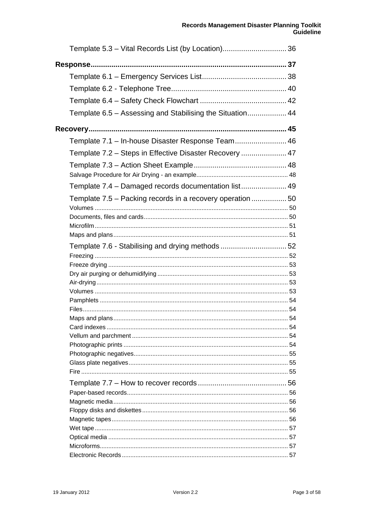| Template 6.5 - Assessing and Stabilising the Situation 44  |  |
|------------------------------------------------------------|--|
|                                                            |  |
|                                                            |  |
| Template 7.1 - In-house Disaster Response Team 46          |  |
| Template 7.2 – Steps in Effective Disaster Recovery  47    |  |
|                                                            |  |
|                                                            |  |
| Template 7.4 - Damaged records documentation list 49       |  |
| Template 7.5 - Packing records in a recovery operation  50 |  |
|                                                            |  |
|                                                            |  |
|                                                            |  |
|                                                            |  |
| Template 7.6 - Stabilising and drying methods  52          |  |
|                                                            |  |
|                                                            |  |
|                                                            |  |
|                                                            |  |
|                                                            |  |
|                                                            |  |
| Maps and plans                                             |  |
|                                                            |  |
|                                                            |  |
|                                                            |  |
|                                                            |  |
|                                                            |  |
|                                                            |  |
|                                                            |  |
|                                                            |  |
|                                                            |  |
|                                                            |  |
|                                                            |  |
|                                                            |  |
|                                                            |  |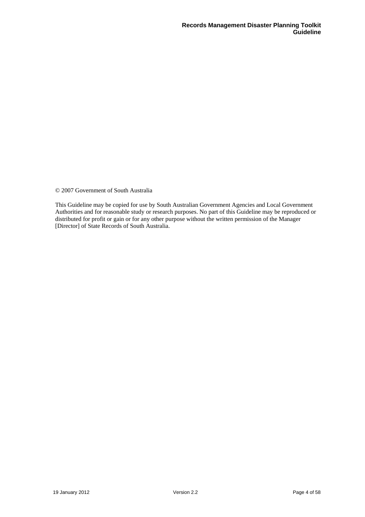© 2007 Government of South Australia

This Guideline may be copied for use by South Australian Government Agencies and Local Government Authorities and for reasonable study or research purposes. No part of this Guideline may be reproduced or distributed for profit or gain or for any other purpose without the written permission of the Manager [Director] of State Records of South Australia.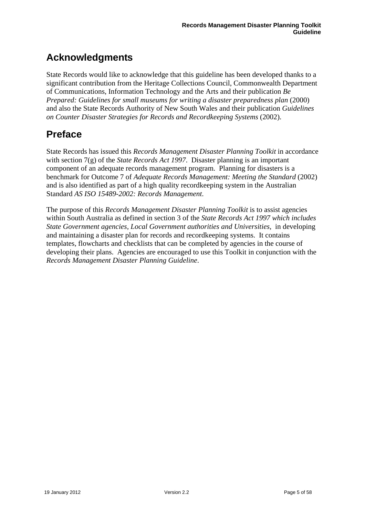# <span id="page-4-0"></span>**Acknowledgments**

State Records would like to acknowledge that this guideline has been developed thanks to a significant contribution from the Heritage Collections Council, Commonwealth Department of Communications, Information Technology and the Arts and their publication *Be Prepared: Guidelines for small museums for writing a disaster preparedness plan* (2000) and also the State Records Authority of New South Wales and their publication *Guidelines on Counter Disaster Strategies for Records and Recordkeeping Systems* (2002).

# **Preface**

State Records has issued this *Records Management Disaster Planning Toolkit* in accordance with section 7(g) of the *State Records Act 1997*. Disaster planning is an important component of an adequate records management program. Planning for disasters is a benchmark for Outcome 7 of *Adequate Records Management: Meeting the Standard* (2002) and is also identified as part of a high quality recordkeeping system in the Australian Standard *AS ISO 15489-2002: Records Management*.

The purpose of this *Records Management Disaster Planning Toolkit* is to assist agencies within South Australia as defined in section 3 of the *State Records Act 1997 which includes State Government agencies, Local Government authorities and Universities, in developing* and maintaining a disaster plan for records and recordkeeping systems. It contains templates, flowcharts and checklists that can be completed by agencies in the course of developing their plans. Agencies are encouraged to use this Toolkit in conjunction with the *Records Management Disaster Planning Guideline*.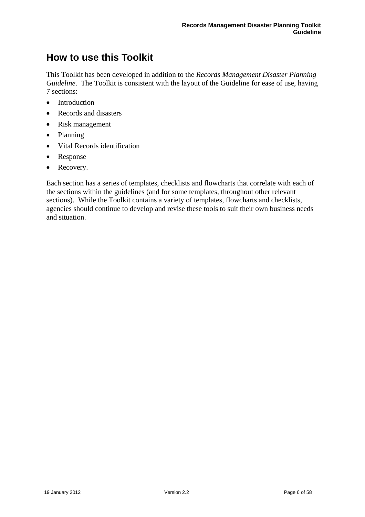# <span id="page-5-0"></span>**How to use this Toolkit**

This Toolkit has been developed in addition to the *Records Management Disaster Planning Guideline*. The Toolkit is consistent with the layout of the Guideline for ease of use, having 7 sections:

- Introduction
- Records and disasters
- Risk management
- Planning
- Vital Records identification
- Response
- Recovery.

Each section has a series of templates, checklists and flowcharts that correlate with each of the sections within the guidelines (and for some templates, throughout other relevant sections). While the Toolkit contains a variety of templates, flowcharts and checklists, agencies should continue to develop and revise these tools to suit their own business needs and situation.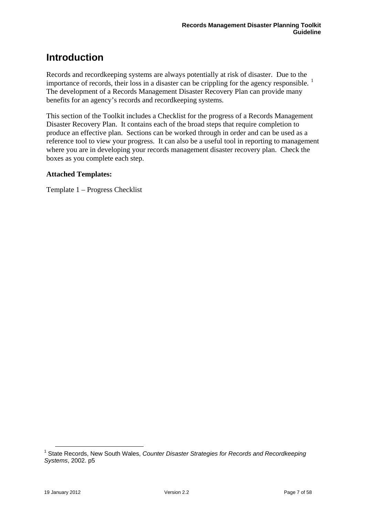# <span id="page-6-0"></span>**Introduction**

Records and recordkeeping systems are always potentially at risk of disaster. Due to the importance of records, their loss in a disaster can be crippling for the agency responsible.  $1$ The development of a Records Management Disaster Recovery Plan can provide many benefits for an agency's records and recordkeeping systems.

This section of the Toolkit includes a Checklist for the progress of a Records Management Disaster Recovery Plan. It contains each of the broad steps that require completion to produce an effective plan. Sections can be worked through in order and can be used as a reference tool to view your progress. It can also be a useful tool in reporting to management where you are in developing your records management disaster recovery plan. Check the boxes as you complete each step.

# **Attached Templates:**

Template 1 – Progress Checklist

 $\overline{a}$ 

<span id="page-6-1"></span><sup>&</sup>lt;sup>1</sup> State Records, New South Wales, *Counter Disaster Strategies for Records and Recordkeeping Systems*, 2002. p5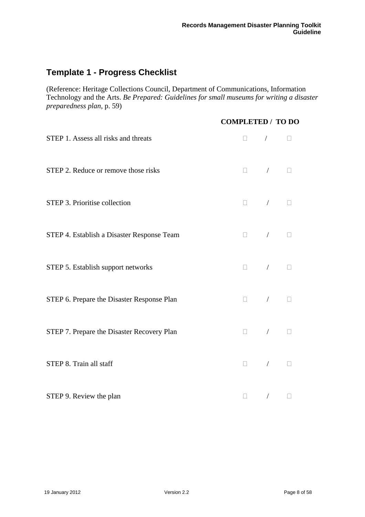# <span id="page-7-0"></span>**Template 1 - Progress Checklist**

(Reference: Heritage Collections Council, Department of Communications, Information Technology and the Arts. *Be Prepared: Guidelines for small museums for writing a disaster preparedness plan*, p. 59)

|                                            | <b>COMPLETED / TO DO</b> |                                                                                                                                                                                                                                                                                                                                                     |                                                                                                                                                                                                                                                                                                                                                                             |  |
|--------------------------------------------|--------------------------|-----------------------------------------------------------------------------------------------------------------------------------------------------------------------------------------------------------------------------------------------------------------------------------------------------------------------------------------------------|-----------------------------------------------------------------------------------------------------------------------------------------------------------------------------------------------------------------------------------------------------------------------------------------------------------------------------------------------------------------------------|--|
| STEP 1. Assess all risks and threats       |                          | $\begin{array}{ccc} \Box & \quad / & \quad \Box \end{array}$                                                                                                                                                                                                                                                                                        |                                                                                                                                                                                                                                                                                                                                                                             |  |
| STEP 2. Reduce or remove those risks       |                          | $\begin{picture}(20,20) \put(0,0){\line(1,0){10}} \put(15,0){\line(1,0){10}} \put(15,0){\line(1,0){10}} \put(15,0){\line(1,0){10}} \put(15,0){\line(1,0){10}} \put(15,0){\line(1,0){10}} \put(15,0){\line(1,0){10}} \put(15,0){\line(1,0){10}} \put(15,0){\line(1,0){10}} \put(15,0){\line(1,0){10}} \put(15,0){\line(1,0){10}} \put(15,0){\line(1$ |                                                                                                                                                                                                                                                                                                                                                                             |  |
| STEP 3. Prioritise collection              |                          | $\begin{array}{ccc} \Box & \quad & / & \quad \Box \end{array}$                                                                                                                                                                                                                                                                                      |                                                                                                                                                                                                                                                                                                                                                                             |  |
| STEP 4. Establish a Disaster Response Team |                          | $\begin{array}{ccc} \Box & \quad / & \quad \Box \end{array}$                                                                                                                                                                                                                                                                                        |                                                                                                                                                                                                                                                                                                                                                                             |  |
| STEP 5. Establish support networks         |                          | $\begin{array}{ccccccccccccc} \Box & & & / & & & \Box \end{array}$                                                                                                                                                                                                                                                                                  |                                                                                                                                                                                                                                                                                                                                                                             |  |
| STEP 6. Prepare the Disaster Response Plan |                          | $\Box$                                                                                                                                                                                                                                                                                                                                              | $\begin{picture}(20,20) \put(0,0){\dashbox{0.5}(5,0){ }} \put(15,0){\dashbox{0.5}(5,0){ }} \put(15,0){\dashbox{0.5}(5,0){ }} \put(15,0){\dashbox{0.5}(5,0){ }} \put(15,0){\dashbox{0.5}(5,0){ }} \put(15,0){\dashbox{0.5}(5,0){ }} \put(15,0){\dashbox{0.5}(5,0){ }} \put(15,0){\dashbox{0.5}(5,0){ }} \put(15,0){\dashbox{0.5}(5,0){ }} \put(15,0){\dashbox{0.5}(5,0){ }}$ |  |
| STEP 7. Prepare the Disaster Recovery Plan |                          | $\Box$ . $\Box$                                                                                                                                                                                                                                                                                                                                     | / $\hfill\Box$                                                                                                                                                                                                                                                                                                                                                              |  |
| STEP 8. Train all staff                    |                          |                                                                                                                                                                                                                                                                                                                                                     |                                                                                                                                                                                                                                                                                                                                                                             |  |
| STEP 9. Review the plan                    |                          | $\begin{array}{ccccccccc} \Box & & & / & & & \Box \end{array}$                                                                                                                                                                                                                                                                                      |                                                                                                                                                                                                                                                                                                                                                                             |  |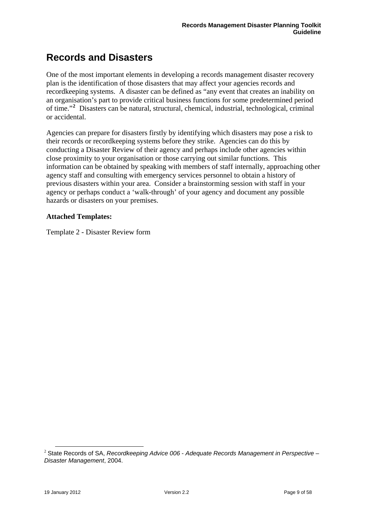# <span id="page-8-0"></span>**Records and Disasters**

One of the most important elements in developing a records management disaster recovery plan is the identification of those disasters that may affect your agencies records and recordkeeping systems. A disaster can be defined as "any event that creates an inability on an organisation's part to provide critical business functions for some predetermined period of time."**[2](#page-8-1)** Disasters can be natural, structural, chemical, industrial, technological, criminal or accidental.

Agencies can prepare for disasters firstly by identifying which disasters may pose a risk to their records or recordkeeping systems before they strike. Agencies can do this by conducting a Disaster Review of their agency and perhaps include other agencies within close proximity to your organisation or those carrying out similar functions. This information can be obtained by speaking with members of staff internally, approaching other agency staff and consulting with emergency services personnel to obtain a history of previous disasters within your area. Consider a brainstorming session with staff in your agency or perhaps conduct a 'walk-through' of your agency and document any possible hazards or disasters on your premises.

### **Attached Templates:**

Template 2 - Disaster Review form

 $\overline{a}$ 

<span id="page-8-1"></span><sup>2</sup> State Records of SA, *Recordkeeping Advice 006* - *Adequate Records Management in Perspective – Disaster Management*, 2004.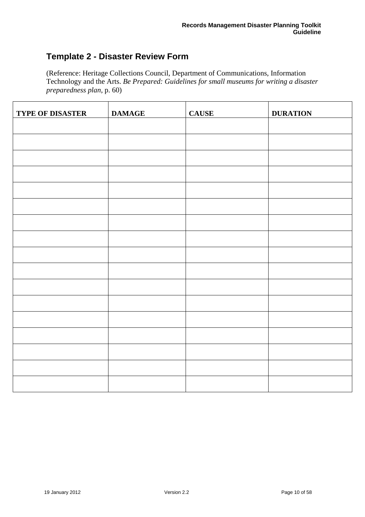# <span id="page-9-0"></span>**Template 2 - Disaster Review Form**

r

(Reference: Heritage Collections Council, Department of Communications, Information Technology and the Arts. *Be Prepared: Guidelines for small museums for writing a disaster preparedness plan*, p. 60)

| TYPE OF DISASTER | <b>DAMAGE</b> | <b>CAUSE</b> | <b>DURATION</b> |
|------------------|---------------|--------------|-----------------|
|                  |               |              |                 |
|                  |               |              |                 |
|                  |               |              |                 |
|                  |               |              |                 |
|                  |               |              |                 |
|                  |               |              |                 |
|                  |               |              |                 |
|                  |               |              |                 |
|                  |               |              |                 |
|                  |               |              |                 |
|                  |               |              |                 |
|                  |               |              |                 |
|                  |               |              |                 |
|                  |               |              |                 |
|                  |               |              |                 |
|                  |               |              |                 |
|                  |               |              |                 |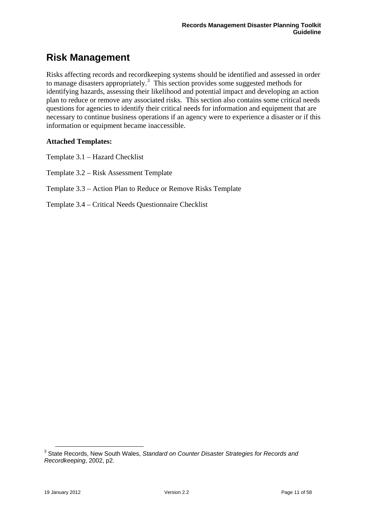# <span id="page-10-0"></span>**Risk Management**

Risks affecting records and recordkeeping systems should be identified and assessed in order to manage disasters appropriately.<sup>[3](#page-10-1)</sup> This section provides some suggested methods for identifying hazards, assessing their likelihood and potential impact and developing an action plan to reduce or remove any associated risks. This section also contains some critical needs questions for agencies to identify their critical needs for information and equipment that are necessary to continue business operations if an agency were to experience a disaster or if this information or equipment became inaccessible.

# **Attached Templates:**

Template 3.1 – Hazard Checklist

Template 3.2 – Risk Assessment Template

Template 3.3 – Action Plan to Reduce or Remove Risks Template

Template 3.4 – Critical Needs Questionnaire Checklist

<span id="page-10-1"></span> 3 State Records, New South Wales, *Standard on Counter Disaster Strategies for Records and Recordkeeping*, 2002, p2.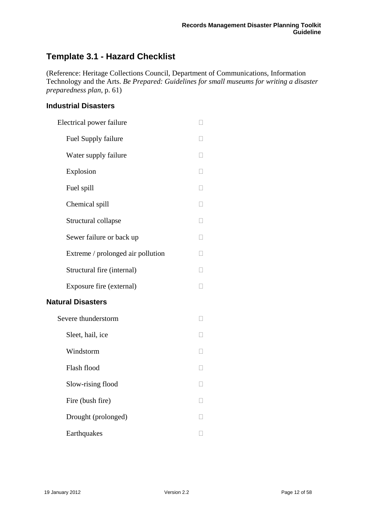# <span id="page-11-0"></span>**Template 3.1 - Hazard Checklist**

(Reference: Heritage Collections Council, Department of Communications, Information Technology and the Arts. *Be Prepared: Guidelines for small museums for writing a disaster preparedness plan*, p. 61)

# **Industrial Disasters**

| Electrical power failure          |        |
|-----------------------------------|--------|
| Fuel Supply failure               |        |
| Water supply failure              |        |
| Explosion                         |        |
| Fuel spill                        | П      |
| Chemical spill                    | П      |
| Structural collapse               | П      |
| Sewer failure or back up          |        |
| Extreme / prolonged air pollution | П      |
| Structural fire (internal)        | П      |
| Exposure fire (external)          | □      |
| <b>Natural Disasters</b>          |        |
| Severe thunderstorm               |        |
| Sleet, hail, ice                  |        |
| Windstorm                         | П      |
| Flash flood                       | П      |
| Slow-rising flood                 | $\Box$ |
| Fire (bush fire)                  | П      |
| Drought (prolonged)               |        |
| Earthquakes                       |        |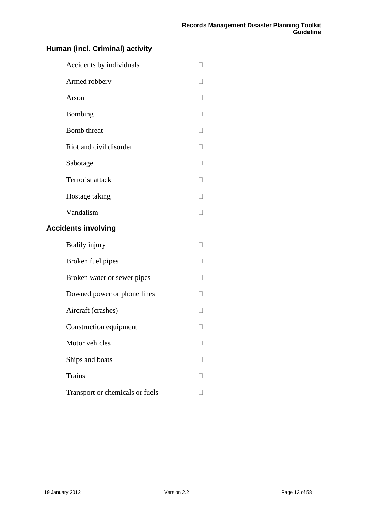# <span id="page-12-0"></span>**Human (incl. Criminal) activity**

| Accidents by individuals        |                   |
|---------------------------------|-------------------|
| Armed robbery                   |                   |
| Arson                           | $\mathbf{L}$      |
| Bombing                         |                   |
| <b>Bomb</b> threat              | $\Box$            |
| Riot and civil disorder         | $\Box$            |
| Sabotage                        | $\vert \ \ \vert$ |
| Terrorist attack                | $\Box$            |
| Hostage taking                  |                   |
| Vandalism                       | $\Box$            |
| <b>Accidents involving</b>      |                   |
| Bodily injury                   | $\mathbf{L}$      |
| Broken fuel pipes               | $\Box$            |
| Broken water or sewer pipes     | $\Box$            |
| Downed power or phone lines     | $\Box$            |
| Aircraft (crashes)              |                   |
| Construction equipment          |                   |
| Motor vehicles                  |                   |
| Ships and boats                 |                   |
| <b>Trains</b>                   |                   |
| Transport or chemicals or fuels |                   |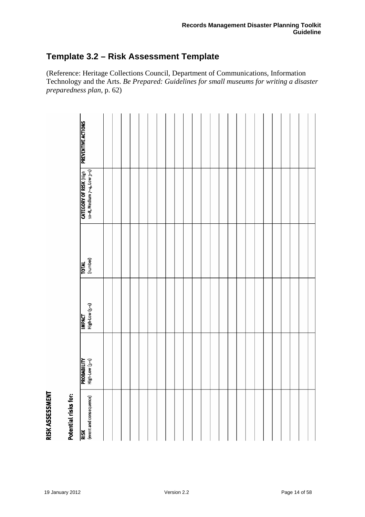# <span id="page-13-0"></span>**Template 3.2 – Risk Assessment Template**

(Reference: Heritage Collections Council, Department of Communications, Information Technology and the Arts. *Be Prepared: Guidelines for small museums for writing a disaster preparedness plan*, p. 62)

| <b>IMPACT</b><br>High-Low (5-1)<br><b>PROBABILITY</b><br>High-Low (5-1) |
|-------------------------------------------------------------------------|
|                                                                         |
|                                                                         |
|                                                                         |
|                                                                         |
|                                                                         |
|                                                                         |
|                                                                         |
|                                                                         |
|                                                                         |
|                                                                         |
|                                                                         |
|                                                                         |
|                                                                         |
|                                                                         |
|                                                                         |
|                                                                         |
|                                                                         |
|                                                                         |
|                                                                         |
|                                                                         |
|                                                                         |
|                                                                         |
|                                                                         |
|                                                                         |
|                                                                         |

# RISK ASSESSMENT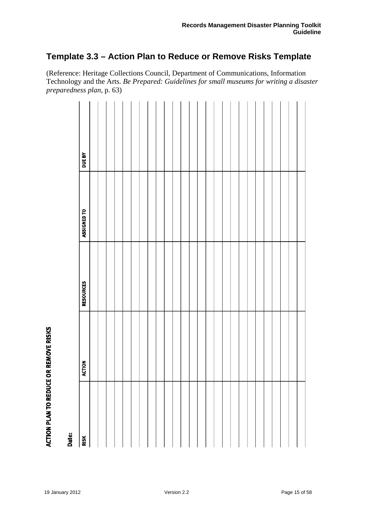# <span id="page-14-0"></span>**Template 3.3 – Action Plan to Reduce or Remove Risks Template**

(Reference: Heritage Collections Council, Department of Communications, Information Technology and the Arts. *Be Prepared: Guidelines for small museums for writing a disaster preparedness plan*, p. 63)

|       | <b>DUE BY</b>        |  |  |  |  |  |  |  |  |  |  |  |  |  |
|-------|----------------------|--|--|--|--|--|--|--|--|--|--|--|--|--|
|       | ASSIGNED TO          |  |  |  |  |  |  |  |  |  |  |  |  |  |
|       | <b>RESOURCES</b>     |  |  |  |  |  |  |  |  |  |  |  |  |  |
|       | <b>ACTION</b>        |  |  |  |  |  |  |  |  |  |  |  |  |  |
| Date: | $\frac{1}{\sqrt{2}}$ |  |  |  |  |  |  |  |  |  |  |  |  |  |

**ACTION PLAN TO REDUCE OR REMOVE RISKS**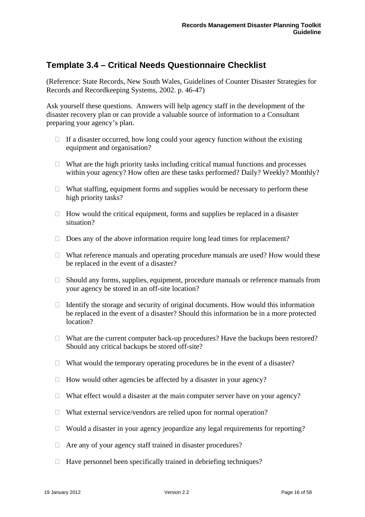# <span id="page-15-0"></span>**Template 3.4 – Critical Needs Questionnaire Checklist**

(Reference: State Records, New South Wales, Guidelines of Counter Disaster Strategies for Records and Recordkeeping Systems, 2002. p. 46-47)

Ask yourself these questions. Answers will help agency staff in the development of the disaster recovery plan or can provide a valuable source of information to a Consultant preparing your agency's plan.

- $\Box$  If a disaster occurred, how long could your agency function without the existing equipment and organisation?
- $\Box$  What are the high priority tasks including critical manual functions and processes within your agency? How often are these tasks performed? Daily? Weekly? Monthly?
- $\Box$  What staffing, equipment forms and supplies would be necessary to perform these high priority tasks?
- $\Box$  How would the critical equipment, forms and supplies be replaced in a disaster situation?
- $\Box$  Does any of the above information require long lead times for replacement?
- $\Box$  What reference manuals and operating procedure manuals are used? How would these be replaced in the event of a disaster?
- $\Box$  Should any forms, supplies, equipment, procedure manuals or reference manuals from your agency be stored in an off-site location?
- $\Box$  Identify the storage and security of original documents. How would this information be replaced in the event of a disaster? Should this information be in a more protected location?
- $\Box$  What are the current computer back-up procedures? Have the backups been restored? Should any critical backups be stored off-site?
- $\Box$  What would the temporary operating procedures be in the event of a disaster?
- $\Box$  How would other agencies be affected by a disaster in your agency?
- $\Box$  What effect would a disaster at the main computer server have on your agency?
- $\Box$  What external service/vendors are relied upon for normal operation?
- $\Box$  Would a disaster in your agency jeopardize any legal requirements for reporting?
- Are any of your agency staff trained in disaster procedures?
- $\Box$  Have personnel been specifically trained in debriefing techniques?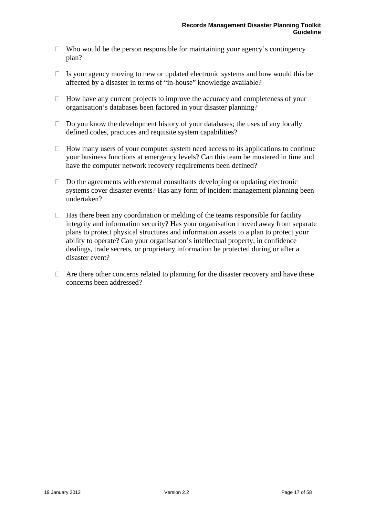- $\Box$  Who would be the person responsible for maintaining your agency's contingency plan?
- $\Box$  Is your agency moving to new or updated electronic systems and how would this be affected by a disaster in terms of "in-house" knowledge available?
- $\Box$  How have any current projects to improve the accuracy and completeness of your organisation's databases been factored in your disaster planning?
- $\Box$  Do you know the development history of your databases; the uses of any locally defined codes, practices and requisite system capabilities?
- $\Box$  How many users of your computer system need access to its applications to continue your business functions at emergency levels? Can this team be mustered in time and have the computer network recovery requirements been defined?
- $\Box$  Do the agreements with external consultants developing or updating electronic systems cover disaster events? Has any form of incident management planning been undertaken?
- $\Box$  Has there been any coordination or melding of the teams responsible for facility integrity and information security? Has your organisation moved away from separate plans to protect physical structures and information assets to a plan to protect your ability to operate? Can your organisation's intellectual property, in confidence dealings, trade secrets, or proprietary information be protected during or after a disaster event?
- $\Box$  Are there other concerns related to planning for the disaster recovery and have these concerns been addressed?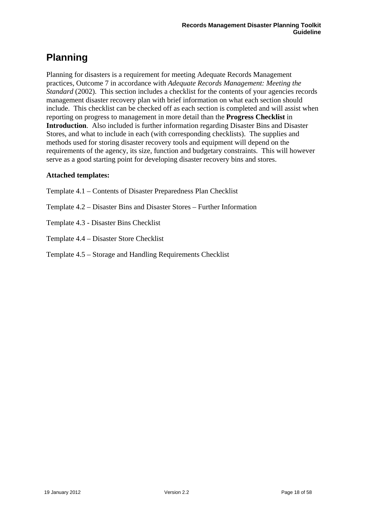# <span id="page-17-0"></span>**Planning**

Planning for disasters is a requirement for meeting Adequate Records Management practices, Outcome 7 in accordance with *Adequate Records Management: Meeting the Standard* (2002). This section includes a checklist for the contents of your agencies records management disaster recovery plan with brief information on what each section should include. This checklist can be checked off as each section is completed and will assist when reporting on progress to management in more detail than the **Progress Checklist** in **Introduction**. Also included is further information regarding Disaster Bins and Disaster Stores, and what to include in each (with corresponding checklists). The supplies and methods used for storing disaster recovery tools and equipment will depend on the requirements of the agency, its size, function and budgetary constraints. This will however serve as a good starting point for developing disaster recovery bins and stores.

# **Attached templates:**

- Template 4.1 Contents of Disaster Preparedness Plan Checklist
- Template 4.2 Disaster Bins and Disaster Stores Further Information
- Template 4.3 Disaster Bins Checklist
- Template 4.4 Disaster Store Checklist
- Template 4.5 Storage and Handling Requirements Checklist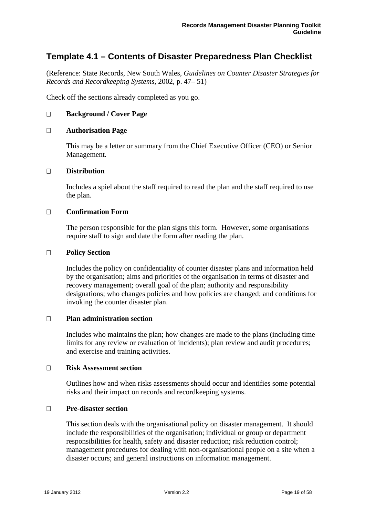# <span id="page-18-0"></span>**Template 4.1 – Contents of Disaster Preparedness Plan Checklist**

(Reference: State Records, New South Wales, *Guidelines on Counter Disaster Strategies for Records and Recordkeeping Systems*, 2002, p. 47– 51)

Check off the sections already completed as you go.

### **Background / Cover Page**

### **Authorisation Page**

This may be a letter or summary from the Chief Executive Officer (CEO) or Senior Management.

### **Distribution**

Includes a spiel about the staff required to read the plan and the staff required to use the plan.

### **Confirmation Form**

The person responsible for the plan signs this form. However, some organisations require staff to sign and date the form after reading the plan.

### **Policy Section**

Includes the policy on confidentiality of counter disaster plans and information held by the organisation; aims and priorities of the organisation in terms of disaster and recovery management; overall goal of the plan; authority and responsibility designations; who changes policies and how policies are changed; and conditions for invoking the counter disaster plan.

### **Plan administration section**

Includes who maintains the plan; how changes are made to the plans (including time limits for any review or evaluation of incidents); plan review and audit procedures; and exercise and training activities.

### **Risk Assessment section**

Outlines how and when risks assessments should occur and identifies some potential risks and their impact on records and recordkeeping systems.

### **Pre-disaster section**

This section deals with the organisational policy on disaster management. It should include the responsibilities of the organisation; individual or group or department responsibilities for health, safety and disaster reduction; risk reduction control; management procedures for dealing with non-organisational people on a site when a disaster occurs; and general instructions on information management.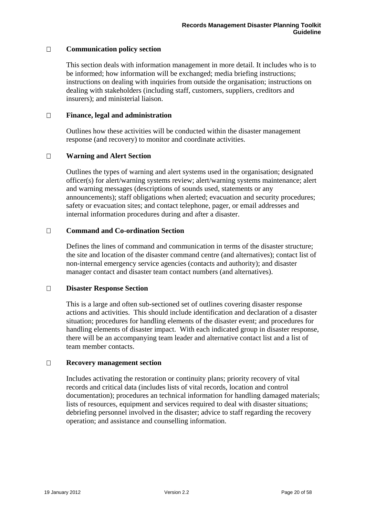### **Communication policy section**

This section deals with information management in more detail. It includes who is to be informed; how information will be exchanged; media briefing instructions; instructions on dealing with inquiries from outside the organisation; instructions on dealing with stakeholders (including staff, customers, suppliers, creditors and insurers); and ministerial liaison.

### **Finance, legal and administration**

Outlines how these activities will be conducted within the disaster management response (and recovery) to monitor and coordinate activities.

### **Warning and Alert Section**

Outlines the types of warning and alert systems used in the organisation; designated officer(s) for alert/warning systems review; alert/warning systems maintenance; alert and warning messages (descriptions of sounds used, statements or any announcements); staff obligations when alerted; evacuation and security procedures; safety or evacuation sites; and contact telephone, pager, or email addresses and internal information procedures during and after a disaster.

### **Command and Co-ordination Section**

Defines the lines of command and communication in terms of the disaster structure; the site and location of the disaster command centre (and alternatives); contact list of non-internal emergency service agencies (contacts and authority); and disaster manager contact and disaster team contact numbers (and alternatives).

### **Disaster Response Section**

This is a large and often sub-sectioned set of outlines covering disaster response actions and activities. This should include identification and declaration of a disaster situation; procedures for handling elements of the disaster event; and procedures for handling elements of disaster impact. With each indicated group in disaster response, there will be an accompanying team leader and alternative contact list and a list of team member contacts.

### **Recovery management section**

Includes activating the restoration or continuity plans; priority recovery of vital records and critical data (includes lists of vital records, location and control documentation); procedures an technical information for handling damaged materials; lists of resources, equipment and services required to deal with disaster situations; debriefing personnel involved in the disaster; advice to staff regarding the recovery operation; and assistance and counselling information.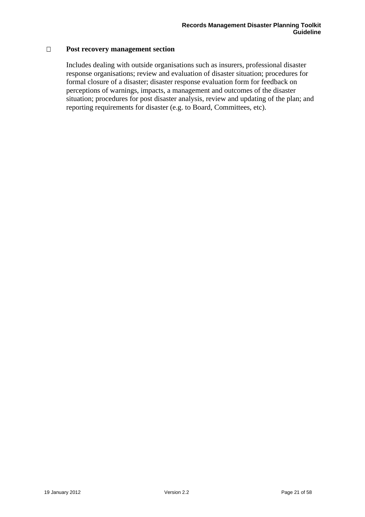### **Post recovery management section**

Includes dealing with outside organisations such as insurers, professional disaster response organisations; review and evaluation of disaster situation; procedures for formal closure of a disaster; disaster response evaluation form for feedback on perceptions of warnings, impacts, a management and outcomes of the disaster situation; procedures for post disaster analysis, review and updating of the plan; and reporting requirements for disaster (e.g. to Board, Committees, etc).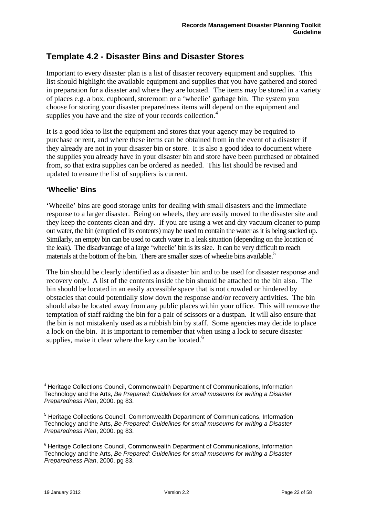# <span id="page-21-0"></span>**Template 4.2 - Disaster Bins and Disaster Stores**

Important to every disaster plan is a list of disaster recovery equipment and supplies. This list should highlight the available equipment and supplies that you have gathered and stored in preparation for a disaster and where they are located. The items may be stored in a variety of places e.g. a box, cupboard, storeroom or a 'wheelie' garbage bin. The system you choose for storing your disaster preparedness items will depend on the equipment and supplies you have and the size of your records collection.<sup>[4](#page-21-1)</sup>

It is a good idea to list the equipment and stores that your agency may be required to purchase or rent, and where these items can be obtained from in the event of a disaster if they already are not in your disaster bin or store. It is also a good idea to document where the supplies you already have in your disaster bin and store have been purchased or obtained from, so that extra supplies can be ordered as needed. This list should be revised and updated to ensure the list of suppliers is current.

### **'Wheelie' Bins**

'Wheelie' bins are good storage units for dealing with small disasters and the immediate response to a larger disaster. Being on wheels, they are easily moved to the disaster site and they keep the contents clean and dry. If you are using a wet and dry vacuum cleaner to pump out water, the bin (emptied of its contents) may be used to contain the water as it is being sucked up. Similarly, an empty bin can be used to catch water in a leak situation (depending on the location of the leak). The disadvantage of a large 'wheelie' bin is its size. It can be very difficult to reach materials at the bottom of the bin. There are smaller sizes of wheelie bins available. $\delta$ 

The bin should be clearly identified as a disaster bin and to be used for disaster response and recovery only. A list of the contents inside the bin should be attached to the bin also. The bin should be located in an easily accessible space that is not crowded or hindered by obstacles that could potentially slow down the response and/or recovery activities. The bin should also be located away from any public places within your office. This will remove the temptation of staff raiding the bin for a pair of scissors or a dustpan. It will also ensure that the bin is not mistakenly used as a rubbish bin by staff. Some agencies may decide to place a lock on the bin. It is important to remember that when using a lock to secure disaster supplies, make it clear where the key can be located. $6$ 

<span id="page-21-1"></span> $\overline{a}$ <sup>4</sup> Heritage Collections Council, Commonwealth Department of Communications, Information Technology and the Arts, *Be Prepared: Guidelines for small museums for writing a Disaster Preparedness Plan*, 2000. pg 83.

<span id="page-21-2"></span><sup>&</sup>lt;sup>5</sup> Heritage Collections Council, Commonwealth Department of Communications, Information Technology and the Arts, *Be Prepared: Guidelines for small museums for writing a Disaster Preparedness Plan*, 2000. pg 83.

<span id="page-21-3"></span><sup>6</sup> Heritage Collections Council, Commonwealth Department of Communications, Information Technology and the Arts, *Be Prepared: Guidelines for small museums for writing a Disaster Preparedness Plan*, 2000. pg 83.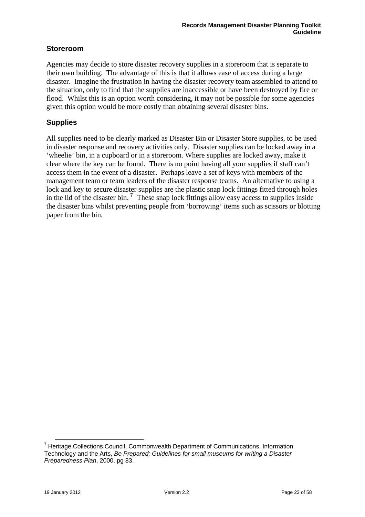# <span id="page-22-0"></span>**Storeroom**

Agencies may decide to store disaster recovery supplies in a storeroom that is separate to their own building. The advantage of this is that it allows ease of access during a large disaster. Imagine the frustration in having the disaster recovery team assembled to attend to the situation, only to find that the supplies are inaccessible or have been destroyed by fire or flood. Whilst this is an option worth considering, it may not be possible for some agencies given this option would be more costly than obtaining several disaster bins.

# **Supplies**

All supplies need to be clearly marked as Disaster Bin or Disaster Store supplies, to be used in disaster response and recovery activities only. Disaster supplies can be locked away in a 'wheelie' bin, in a cupboard or in a storeroom. Where supplies are locked away, make it clear where the key can be found. There is no point having all your supplies if staff can't access them in the event of a disaster. Perhaps leave a set of keys with members of the management team or team leaders of the disaster response teams. An alternative to using a lock and key to secure disaster supplies are the plastic snap lock fittings fitted through holes in the lid of the disaster bin.<sup>[7](#page-22-1)</sup> These snap lock fittings allow easy access to supplies inside the disaster bins whilst preventing people from 'borrowing' items such as scissors or blotting paper from the bin.

 $\overline{a}$ 

<span id="page-22-1"></span><sup>&</sup>lt;sup>7</sup> Heritage Collections Council, Commonwealth Department of Communications, Information Technology and the Arts, *Be Prepared: Guidelines for small museums for writing a Disaster Preparedness Plan*, 2000. pg 83.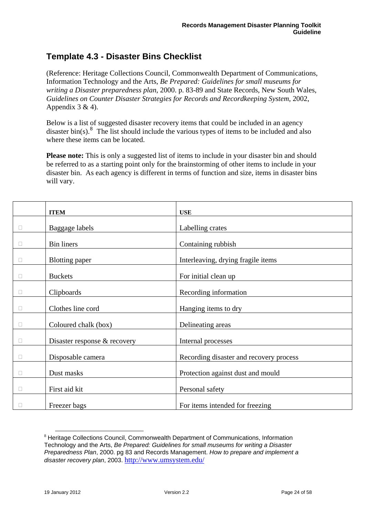# <span id="page-23-0"></span>**Template 4.3 - Disaster Bins Checklist**

(Reference: Heritage Collections Council, Commonwealth Department of Communications, Information Technology and the Arts, *Be Prepared: Guidelines for small museums for writing a Disaster preparedness plan*, 2000. p. 83-89 and State Records, New South Wales, *Guidelines on Counter Disaster Strategies for Records and Recordkeeping System*, 2002, Appendix  $3 & 4$ ).

Below is a list of suggested disaster recovery items that could be included in an agency disaster bin(s). $\frac{8}{10}$  $\frac{8}{10}$  $\frac{8}{10}$  The list should include the various types of items to be included and also where these items can be located.

**Please note:** This is only a suggested list of items to include in your disaster bin and should be referred to as a starting point only for the brainstorming of other items to include in your disaster bin. As each agency is different in terms of function and size, items in disaster bins will vary.

|        | <b>ITEM</b>                  | <b>USE</b>                              |
|--------|------------------------------|-----------------------------------------|
| $\Box$ | Baggage labels               | Labelling crates                        |
| $\Box$ | <b>Bin liners</b>            | Containing rubbish                      |
| $\Box$ | <b>Blotting paper</b>        | Interleaving, drying fragile items      |
| $\Box$ | <b>Buckets</b>               | For initial clean up                    |
| $\Box$ | Clipboards                   | Recording information                   |
| $\Box$ | Clothes line cord            | Hanging items to dry                    |
| $\Box$ | Coloured chalk (box)         | Delineating areas                       |
| $\Box$ | Disaster response & recovery | Internal processes                      |
| $\Box$ | Disposable camera            | Recording disaster and recovery process |
| $\Box$ | Dust masks                   | Protection against dust and mould       |
| $\Box$ | First aid kit                | Personal safety                         |
|        | Freezer bags                 | For items intended for freezing         |

<span id="page-23-1"></span> <sup>8</sup> Heritage Collections Council, Commonwealth Department of Communications, Information Technology and the Arts, *Be Prepared: Guidelines for small museums for writing a Disaster Preparedness Plan*, 2000. pg 83 and Records Management. *How to prepare and implement a disaster recovery plan*, 2003. <http://www.umsystem.edu/>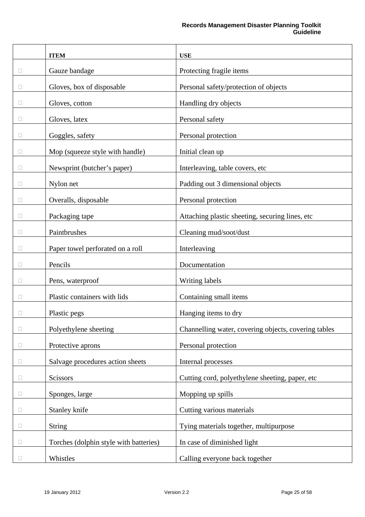|        | <b>ITEM</b>                            | <b>USE</b>                                           |
|--------|----------------------------------------|------------------------------------------------------|
| O      | Gauze bandage                          | Protecting fragile items                             |
| □      | Gloves, box of disposable              | Personal safety/protection of objects                |
| $\Box$ | Gloves, cotton                         | Handling dry objects                                 |
| u      | Gloves, latex                          | Personal safety                                      |
| Ц      | Goggles, safety                        | Personal protection                                  |
| $\Box$ | Mop (squeeze style with handle)        | Initial clean up                                     |
| □      | Newsprint (butcher's paper)            | Interleaving, table covers, etc                      |
| П      | Nylon net                              | Padding out 3 dimensional objects                    |
| u      | Overalls, disposable                   | Personal protection                                  |
| □      | Packaging tape                         | Attaching plastic sheeting, securing lines, etc      |
| $\Box$ | Paintbrushes                           | Cleaning mud/soot/dust                               |
| □      | Paper towel perforated on a roll       | Interleaving                                         |
| ⊔      | Pencils                                | Documentation                                        |
| $\Box$ | Pens, waterproof                       | Writing labels                                       |
| $\Box$ | Plastic containers with lids           | Containing small items                               |
| □      | Plastic pegs                           | Hanging items to dry                                 |
| □      | Polyethylene sheeting                  | Channelling water, covering objects, covering tables |
| □      | Protective aprons                      | Personal protection                                  |
| $\Box$ | Salvage procedures action sheets       | Internal processes                                   |
| $\Box$ | Scissors                               | Cutting cord, polyethylene sheeting, paper, etc      |
| Ш      | Sponges, large                         | Mopping up spills                                    |
| $\Box$ | Stanley knife                          | Cutting various materials                            |
| $\Box$ | <b>String</b>                          | Tying materials together, multipurpose               |
| $\Box$ | Torches (dolphin style with batteries) | In case of diminished light                          |
| $\Box$ | Whistles                               | Calling everyone back together                       |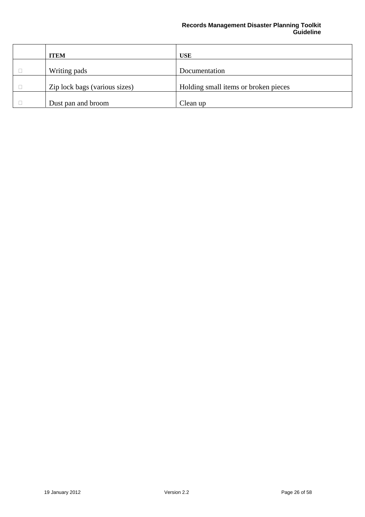### **Records Management Disaster Planning Toolkit Guideline**

| <b>ITEM</b>                   | <b>USE</b>                           |
|-------------------------------|--------------------------------------|
| Writing pads                  | Documentation                        |
|                               |                                      |
| Zip lock bags (various sizes) | Holding small items or broken pieces |
| Dust pan and broom            | Clean up                             |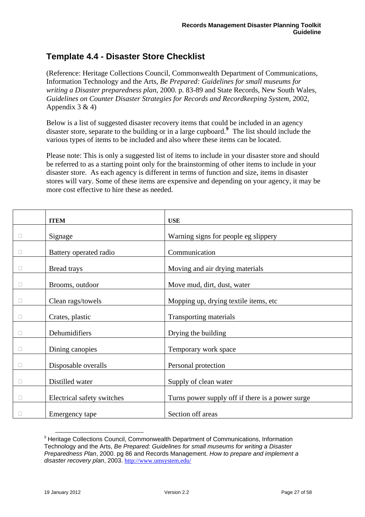# <span id="page-26-0"></span>**Template 4.4 - Disaster Store Checklist**

(Reference: Heritage Collections Council, Commonwealth Department of Communications, Information Technology and the Arts, *Be Prepared: Guidelines for small museums for writing a Disaster preparedness plan*, 2000. p. 83-89 and State Records, New South Wales, *Guidelines on Counter Disaster Strategies for Records and Recordkeeping System*, 2002, Appendix  $3 & 4$ )

Below is a list of suggested disaster recovery items that could be included in an agency disaster store, separate to the building or in a large cupboard.**[9](#page-26-1)** The list should include the various types of items to be included and also where these items can be located.

Please note: This is only a suggested list of items to include in your disaster store and should be referred to as a starting point only for the brainstorming of other items to include in your disaster store. As each agency is different in terms of function and size, items in disaster stores will vary. Some of these items are expensive and depending on your agency, it may be more cost effective to hire these as needed.

|        | <b>ITEM</b>                | <b>USE</b>                                       |
|--------|----------------------------|--------------------------------------------------|
|        | Signage                    | Warning signs for people eg slippery             |
| $\Box$ | Battery operated radio     | Communication                                    |
| $\Box$ | Bread trays                | Moving and air drying materials                  |
| П      | Brooms, outdoor            | Move mud, dirt, dust, water                      |
| $\Box$ | Clean rags/towels          | Mopping up, drying textile items, etc            |
| $\Box$ | Crates, plastic            | Transporting materials                           |
| $\Box$ | Dehumidifiers              | Drying the building                              |
| $\Box$ | Dining canopies            | Temporary work space                             |
| $\Box$ | Disposable overalls        | Personal protection                              |
| $\Box$ | Distilled water            | Supply of clean water                            |
| $\Box$ | Electrical safety switches | Turns power supply off if there is a power surge |
|        | Emergency tape             | Section off areas                                |

<span id="page-26-1"></span><sup>&</sup>lt;sup>9</sup> Heritage Collections Council, Commonwealth Department of Communications, Information Technology and the Arts, *Be Prepared: Guidelines for small museums for writing a Disaster Preparedness Plan*, 2000. pg 86 and Records Management. *How to prepare and implement a disaster recovery plan*, 2003. <http://www.umsystem.edu/>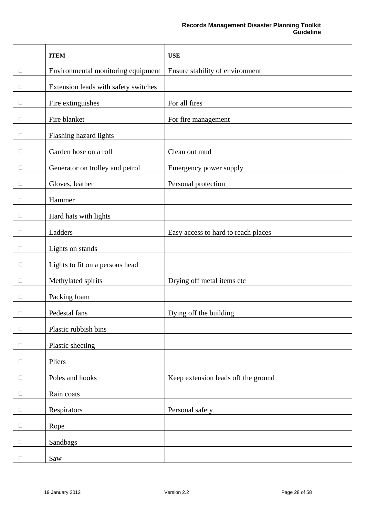|        | <b>ITEM</b>                          | <b>USE</b>                          |
|--------|--------------------------------------|-------------------------------------|
| □      | Environmental monitoring equipment   | Ensure stability of environment     |
| Ц      | Extension leads with safety switches |                                     |
| Ц      | Fire extinguishes                    | For all fires                       |
| $\Box$ | Fire blanket                         | For fire management                 |
| $\Box$ | Flashing hazard lights               |                                     |
| П      | Garden hose on a roll                | Clean out mud                       |
| Ц      | Generator on trolley and petrol      | Emergency power supply              |
| $\Box$ | Gloves, leather                      | Personal protection                 |
| $\Box$ | Hammer                               |                                     |
| $\Box$ | Hard hats with lights                |                                     |
| Ц      | Ladders                              | Easy access to hard to reach places |
| □      | Lights on stands                     |                                     |
| $\Box$ | Lights to fit on a persons head      |                                     |
| $\Box$ | Methylated spirits                   | Drying off metal items etc          |
| $\Box$ | Packing foam                         |                                     |
| Ш      | Pedestal fans                        | Dying off the building              |
| $\Box$ | Plastic rubbish bins                 |                                     |
| $\Box$ | Plastic sheeting                     |                                     |
| $\Box$ | Pliers                               |                                     |
| $\Box$ | Poles and hooks                      | Keep extension leads off the ground |
| $\Box$ | Rain coats                           |                                     |
| $\Box$ | Respirators                          | Personal safety                     |
| $\Box$ | Rope                                 |                                     |
| $\Box$ | Sandbags                             |                                     |
| $\Box$ | Saw                                  |                                     |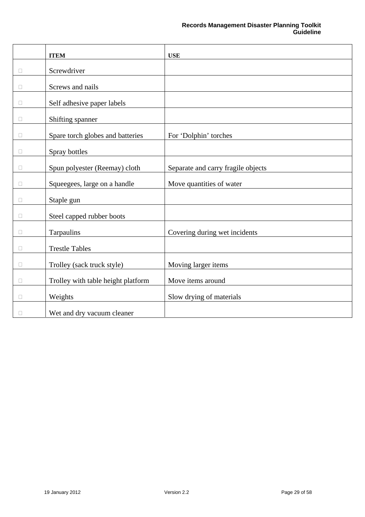|        | <b>ITEM</b>                        | <b>USE</b>                         |
|--------|------------------------------------|------------------------------------|
| $\Box$ | Screwdriver                        |                                    |
| П      | Screws and nails                   |                                    |
| □      | Self adhesive paper labels         |                                    |
| □      | Shifting spanner                   |                                    |
| O      | Spare torch globes and batteries   | For 'Dolphin' torches              |
| П      | Spray bottles                      |                                    |
| 0      | Spun polyester (Reemay) cloth      | Separate and carry fragile objects |
| $\Box$ | Squeegees, large on a handle       | Move quantities of water           |
| П      | Staple gun                         |                                    |
| Ω      | Steel capped rubber boots          |                                    |
| П      | Tarpaulins                         | Covering during wet incidents      |
| П      | <b>Trestle Tables</b>              |                                    |
| $\Box$ | Trolley (sack truck style)         | Moving larger items                |
| O      | Trolley with table height platform | Move items around                  |
| $\Box$ | Weights                            | Slow drying of materials           |
| $\Box$ | Wet and dry vacuum cleaner         |                                    |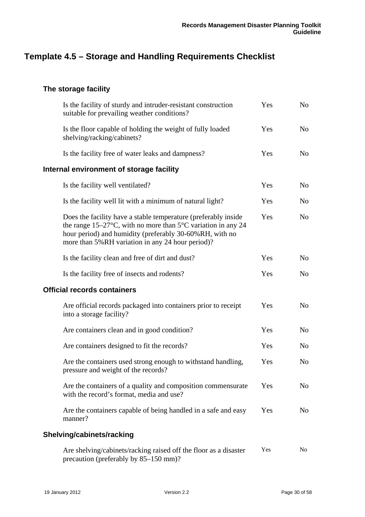# <span id="page-29-0"></span>**Template 4.5 – Storage and Handling Requirements Checklist**

# **The storage facility**

| Is the facility of sturdy and intruder-resistant construction<br>suitable for prevailing weather conditions?                                                                                                                                        | Yes | N <sub>o</sub> |
|-----------------------------------------------------------------------------------------------------------------------------------------------------------------------------------------------------------------------------------------------------|-----|----------------|
| Is the floor capable of holding the weight of fully loaded<br>shelving/racking/cabinets?                                                                                                                                                            | Yes | No             |
| Is the facility free of water leaks and dampness?                                                                                                                                                                                                   | Yes | N <sub>o</sub> |
| Internal environment of storage facility                                                                                                                                                                                                            |     |                |
| Is the facility well ventilated?                                                                                                                                                                                                                    | Yes | N <sub>o</sub> |
| Is the facility well lit with a minimum of natural light?                                                                                                                                                                                           | Yes | N <sub>0</sub> |
| Does the facility have a stable temperature (preferably inside<br>the range $15-27$ °C, with no more than $5$ °C variation in any 24<br>hour period) and humidity (preferably 30-60%RH, with no<br>more than 5%RH variation in any 24 hour period)? | Yes | N <sub>o</sub> |
| Is the facility clean and free of dirt and dust?                                                                                                                                                                                                    | Yes | N <sub>o</sub> |
| Is the facility free of insects and rodents?                                                                                                                                                                                                        | Yes | N <sub>o</sub> |
| <b>Official records containers</b>                                                                                                                                                                                                                  |     |                |
| Are official records packaged into containers prior to receipt<br>into a storage facility?                                                                                                                                                          | Yes | No             |
| Are containers clean and in good condition?                                                                                                                                                                                                         | Yes | N <sub>o</sub> |
| Are containers designed to fit the records?                                                                                                                                                                                                         | Yes | N <sub>0</sub> |
| Are the containers used strong enough to withstand handling,<br>pressure and weight of the records?                                                                                                                                                 | Yes | N <sub>o</sub> |
| Are the containers of a quality and composition commensurate<br>with the record's format, media and use?                                                                                                                                            | Yes | No             |
| Are the containers capable of being handled in a safe and easy<br>manner?                                                                                                                                                                           | Yes | No             |
| Shelving/cabinets/racking                                                                                                                                                                                                                           |     |                |
| Are shelving/cabinets/racking raised off the floor as a disaster                                                                                                                                                                                    | Yes | N <sub>0</sub> |

precaution (preferably by 85–150 mm)?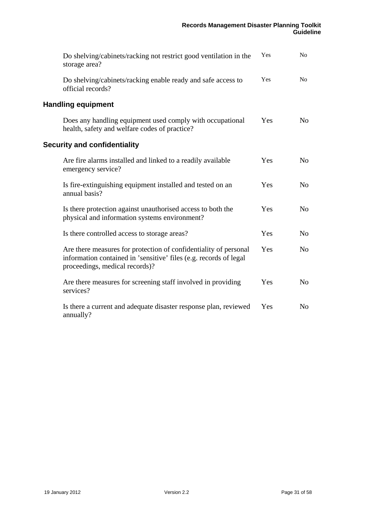<span id="page-30-0"></span>

| Do shelving/cabinets/racking not restrict good ventilation in the<br>storage area?                                                                                      | Yes | No             |
|-------------------------------------------------------------------------------------------------------------------------------------------------------------------------|-----|----------------|
| Do shelving/cabinets/racking enable ready and safe access to<br>official records?                                                                                       | Yes | No             |
| <b>Handling equipment</b>                                                                                                                                               |     |                |
| Does any handling equipment used comply with occupational<br>health, safety and welfare codes of practice?                                                              | Yes | No             |
| <b>Security and confidentiality</b>                                                                                                                                     |     |                |
| Are fire alarms installed and linked to a readily available<br>emergency service?                                                                                       | Yes | N <sub>o</sub> |
| Is fire-extinguishing equipment installed and tested on an<br>annual basis?                                                                                             | Yes | N <sub>0</sub> |
| Is there protection against unauthorised access to both the<br>physical and information systems environment?                                                            | Yes | N <sub>o</sub> |
| Is there controlled access to storage areas?                                                                                                                            | Yes | N <sub>o</sub> |
| Are there measures for protection of confidentiality of personal<br>information contained in 'sensitive' files (e.g. records of legal<br>proceedings, medical records)? | Yes | N <sub>0</sub> |
| Are there measures for screening staff involved in providing<br>services?                                                                                               | Yes | N <sub>o</sub> |
| Is there a current and adequate disaster response plan, reviewed<br>annually?                                                                                           | Yes | No             |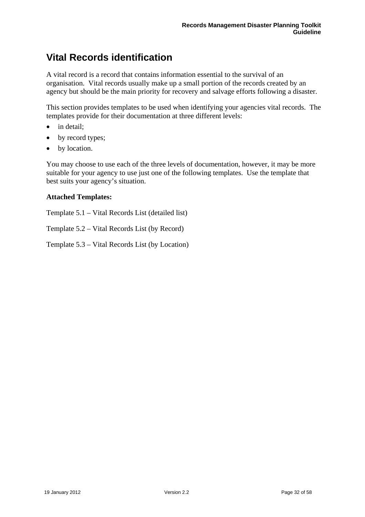# <span id="page-31-0"></span>**Vital Records identification**

A vital record is a record that contains information essential to the survival of an organisation. Vital records usually make up a small portion of the records created by an agency but should be the main priority for recovery and salvage efforts following a disaster.

This section provides templates to be used when identifying your agencies vital records. The templates provide for their documentation at three different levels:

- in detail:
- by record types;
- by location.

You may choose to use each of the three levels of documentation, however, it may be more suitable for your agency to use just one of the following templates. Use the template that best suits your agency's situation.

### **Attached Templates:**

Template 5.1 – Vital Records List (detailed list)

Template 5.2 – Vital Records List (by Record)

Template 5.3 – Vital Records List (by Location)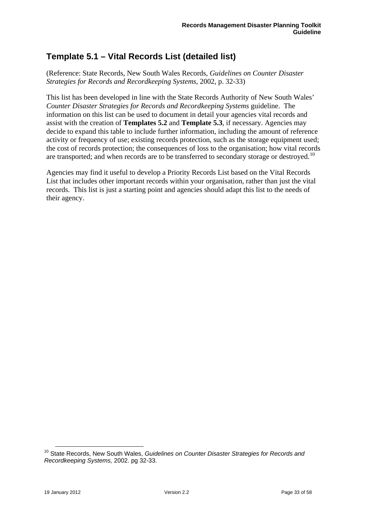# <span id="page-32-0"></span>**Template 5.1 – Vital Records List (detailed list)**

(Reference: State Records, New South Wales Records, *Guidelines on Counter Disaster Strategies for Records and Recordkeeping Systems*, 2002, p. 32-33)

This list has been developed in line with the State Records Authority of New South Wales' *Counter Disaster Strategies for Records and Recordkeeping Systems* guideline. The information on this list can be used to document in detail your agencies vital records and assist with the creation of **Templates 5.2** and **Template 5.3**, if necessary. Agencies may decide to expand this table to include further information, including the amount of reference activity or frequency of use; existing records protection, such as the storage equipment used; the cost of records protection; the consequences of loss to the organisation; how vital records are transported; and when records are to be transferred to secondary storage or destroyed.<sup>[10](#page-32-1)</sup>

Agencies may find it useful to develop a Priority Records List based on the Vital Records List that includes other important records within your organisation, rather than just the vital records. This list is just a starting point and agencies should adapt this list to the needs of their agency.

 $\overline{a}$ 

<span id="page-32-1"></span><sup>&</sup>lt;sup>10</sup> State Records, New South Wales, *Guidelines on Counter Disaster Strategies for Records and Recordkeeping Systems,* 2002. pg 32-33.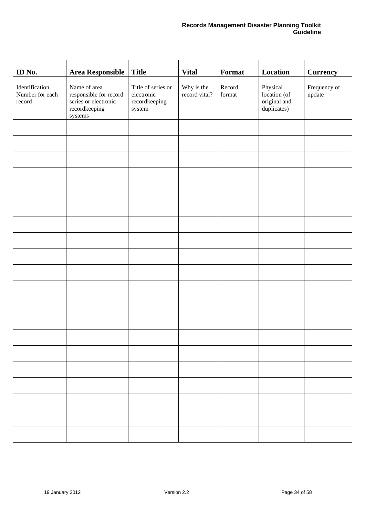| ID No.                                      | <b>Area Responsible</b>                                                                    | <b>Title</b>                                                | <b>Vital</b>                | Format           | Location                                                | <b>Currency</b>        |
|---------------------------------------------|--------------------------------------------------------------------------------------------|-------------------------------------------------------------|-----------------------------|------------------|---------------------------------------------------------|------------------------|
| Identification<br>Number for each<br>record | Name of area<br>responsible for record<br>series or electronic<br>recordkeeping<br>systems | Title of series or<br>electronic<br>recordkeeping<br>system | Why is the<br>record vital? | Record<br>format | Physical<br>location (of<br>original and<br>duplicates) | Frequency of<br>update |
|                                             |                                                                                            |                                                             |                             |                  |                                                         |                        |
|                                             |                                                                                            |                                                             |                             |                  |                                                         |                        |
|                                             |                                                                                            |                                                             |                             |                  |                                                         |                        |
|                                             |                                                                                            |                                                             |                             |                  |                                                         |                        |
|                                             |                                                                                            |                                                             |                             |                  |                                                         |                        |
|                                             |                                                                                            |                                                             |                             |                  |                                                         |                        |
|                                             |                                                                                            |                                                             |                             |                  |                                                         |                        |
|                                             |                                                                                            |                                                             |                             |                  |                                                         |                        |
|                                             |                                                                                            |                                                             |                             |                  |                                                         |                        |
|                                             |                                                                                            |                                                             |                             |                  |                                                         |                        |
|                                             |                                                                                            |                                                             |                             |                  |                                                         |                        |
|                                             |                                                                                            |                                                             |                             |                  |                                                         |                        |
|                                             |                                                                                            |                                                             |                             |                  |                                                         |                        |
|                                             |                                                                                            |                                                             |                             |                  |                                                         |                        |
|                                             |                                                                                            |                                                             |                             |                  |                                                         |                        |
|                                             |                                                                                            |                                                             |                             |                  |                                                         |                        |
|                                             |                                                                                            |                                                             |                             |                  |                                                         |                        |
|                                             |                                                                                            |                                                             |                             |                  |                                                         |                        |
|                                             |                                                                                            |                                                             |                             |                  |                                                         |                        |
|                                             |                                                                                            |                                                             |                             |                  |                                                         |                        |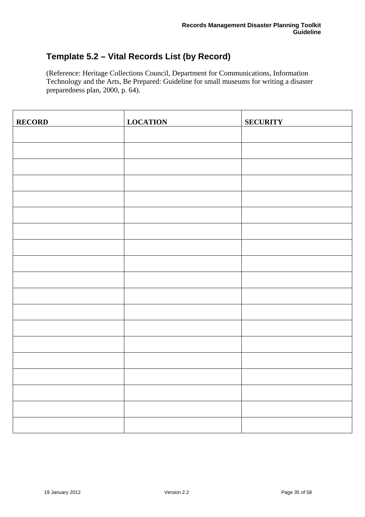# <span id="page-34-0"></span>**Template 5.2 – Vital Records List (by Record)**

(Reference: Heritage Collections Council, Department for Communications, Information Technology and the Arts, Be Prepared: Guideline for small museums for writing a disaster preparedness plan, 2000, p. 64).

| <b>RECORD</b> | <b>LOCATION</b> | <b>SECURITY</b> |
|---------------|-----------------|-----------------|
|               |                 |                 |
|               |                 |                 |
|               |                 |                 |
|               |                 |                 |
|               |                 |                 |
|               |                 |                 |
|               |                 |                 |
|               |                 |                 |
|               |                 |                 |
|               |                 |                 |
|               |                 |                 |
|               |                 |                 |
|               |                 |                 |
|               |                 |                 |
|               |                 |                 |
|               |                 |                 |
|               |                 |                 |
|               |                 |                 |
|               |                 |                 |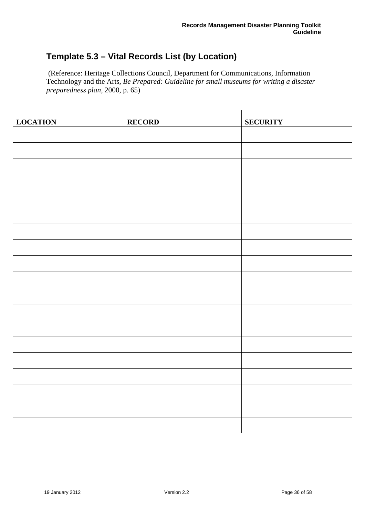# <span id="page-35-0"></span>**Template 5.3 – Vital Records List (by Location)**

 (Reference: Heritage Collections Council, Department for Communications, Information Technology and the Arts, *Be Prepared: Guideline for small museums for writing a disaster preparedness plan*, 2000, p. 65)

| <b>LOCATION</b> | <b>RECORD</b> | <b>SECURITY</b> |
|-----------------|---------------|-----------------|
|                 |               |                 |
|                 |               |                 |
|                 |               |                 |
|                 |               |                 |
|                 |               |                 |
|                 |               |                 |
|                 |               |                 |
|                 |               |                 |
|                 |               |                 |
|                 |               |                 |
|                 |               |                 |
|                 |               |                 |
|                 |               |                 |
|                 |               |                 |
|                 |               |                 |
|                 |               |                 |
|                 |               |                 |
|                 |               |                 |
|                 |               |                 |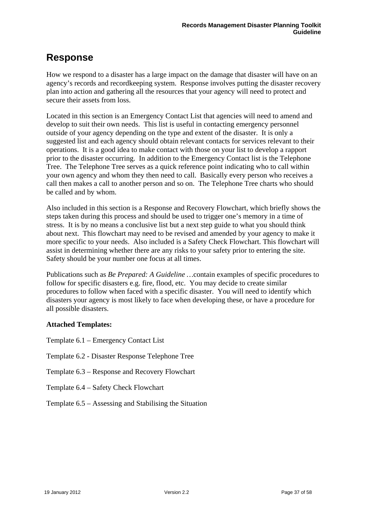# <span id="page-36-0"></span>**Response**

How we respond to a disaster has a large impact on the damage that disaster will have on an agency's records and recordkeeping system. Response involves putting the disaster recovery plan into action and gathering all the resources that your agency will need to protect and secure their assets from loss.

Located in this section is an Emergency Contact List that agencies will need to amend and develop to suit their own needs. This list is useful in contacting emergency personnel outside of your agency depending on the type and extent of the disaster. It is only a suggested list and each agency should obtain relevant contacts for services relevant to their operations. It is a good idea to make contact with those on your list to develop a rapport prior to the disaster occurring. In addition to the Emergency Contact list is the Telephone Tree. The Telephone Tree serves as a quick reference point indicating who to call within your own agency and whom they then need to call. Basically every person who receives a call then makes a call to another person and so on. The Telephone Tree charts who should be called and by whom.

Also included in this section is a Response and Recovery Flowchart, which briefly shows the steps taken during this process and should be used to trigger one's memory in a time of stress. It is by no means a conclusive list but a next step guide to what you should think about next. This flowchart may need to be revised and amended by your agency to make it more specific to your needs. Also included is a Safety Check Flowchart. This flowchart will assist in determining whether there are any risks to your safety prior to entering the site. Safety should be your number one focus at all times.

Publications such as *Be Prepared: A Guideline …*contain examples of specific procedures to follow for specific disasters e.g. fire, flood, etc. You may decide to create similar procedures to follow when faced with a specific disaster. You will need to identify which disasters your agency is most likely to face when developing these, or have a procedure for all possible disasters.

# **Attached Templates:**

Template 6.1 – Emergency Contact List

- Template 6.2 Disaster Response Telephone Tree
- Template 6.3 Response and Recovery Flowchart
- Template 6.4 Safety Check Flowchart
- Template 6.5 Assessing and Stabilising the Situation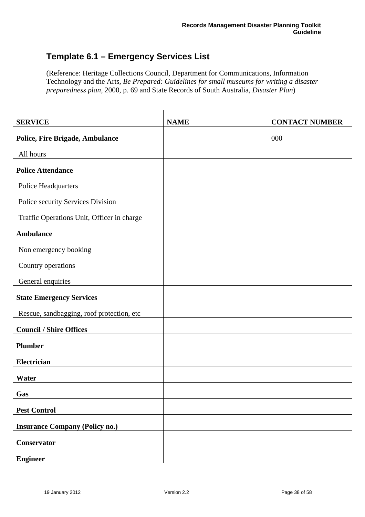# <span id="page-37-0"></span>**Template 6.1 – Emergency Services List**

(Reference: Heritage Collections Council, Department for Communications, Information Technology and the Arts, *Be Prepared: Guidelines for small museums for writing a disaster preparedness plan*, 2000, p. 69 and State Records of South Australia, *Disaster Plan*)

| <b>SERVICE</b>                             | <b>NAME</b> | <b>CONTACT NUMBER</b> |
|--------------------------------------------|-------------|-----------------------|
| <b>Police, Fire Brigade, Ambulance</b>     |             | 000                   |
| All hours                                  |             |                       |
| <b>Police Attendance</b>                   |             |                       |
| Police Headquarters                        |             |                       |
| Police security Services Division          |             |                       |
| Traffic Operations Unit, Officer in charge |             |                       |
| <b>Ambulance</b>                           |             |                       |
| Non emergency booking                      |             |                       |
| Country operations                         |             |                       |
| General enquiries                          |             |                       |
| <b>State Emergency Services</b>            |             |                       |
| Rescue, sandbagging, roof protection, etc  |             |                       |
| <b>Council / Shire Offices</b>             |             |                       |
| <b>Plumber</b>                             |             |                       |
| Electrician                                |             |                       |
| Water                                      |             |                       |
| Gas                                        |             |                       |
| <b>Pest Control</b>                        |             |                       |
| <b>Insurance Company (Policy no.)</b>      |             |                       |
| Conservator                                |             |                       |
| <b>Engineer</b>                            |             |                       |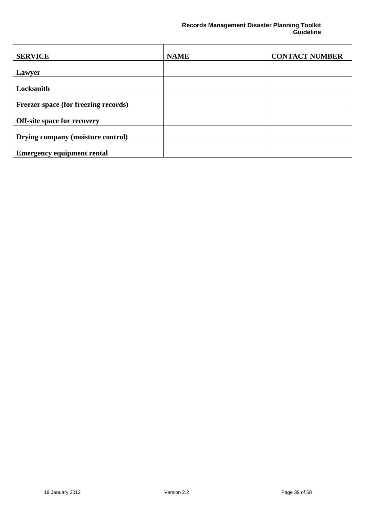| <b>SERVICE</b>                              | <b>NAME</b> | <b>CONTACT NUMBER</b> |
|---------------------------------------------|-------------|-----------------------|
| <b>Lawyer</b>                               |             |                       |
| Locksmith                                   |             |                       |
|                                             |             |                       |
| <b>Freezer space (for freezing records)</b> |             |                       |
| Off-site space for recovery                 |             |                       |
| Drying company (moisture control)           |             |                       |
| <b>Emergency equipment rental</b>           |             |                       |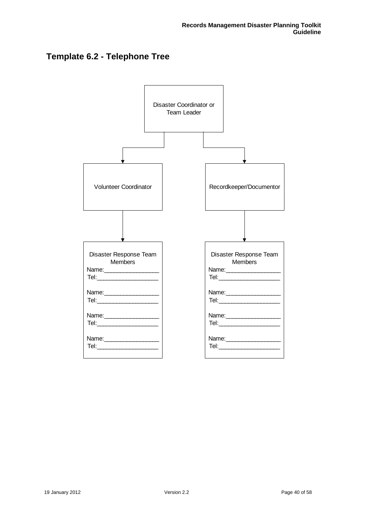# <span id="page-39-0"></span>**Template 6.2 - Telephone Tree**

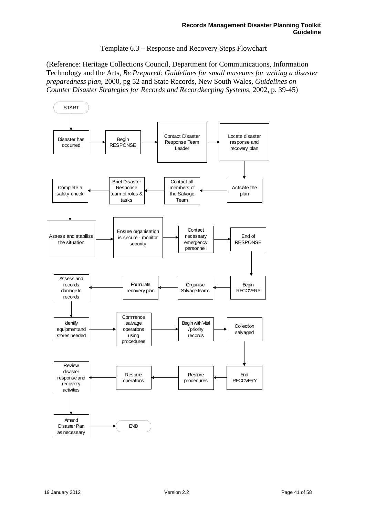Template 6.3 – Response and Recovery Steps Flowchart

(Reference: Heritage Collections Council, Department for Communications, Information Technology and the Arts, *Be Prepared: Guidelines for small museums for writing a disaster preparedness plan*, 2000, pg 52 and State Records, New South Wales, *Guidelines on Counter Disaster Strategies for Records and Recordkeeping Systems,* 2002, p. 39-45)

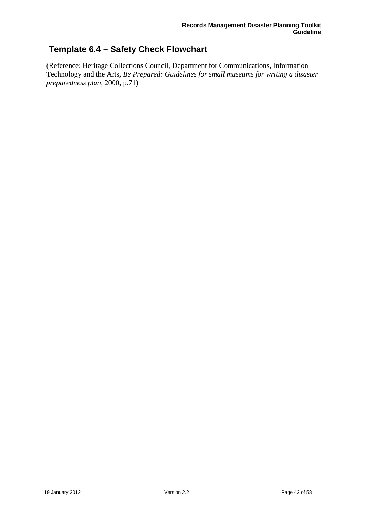# <span id="page-41-0"></span> **Template 6.4 – Safety Check Flowchart**

(Reference: Heritage Collections Council, Department for Communications, Information Technology and the Arts, *Be Prepared: Guidelines for small museums for writing a disaster preparedness plan*, 2000, p.71)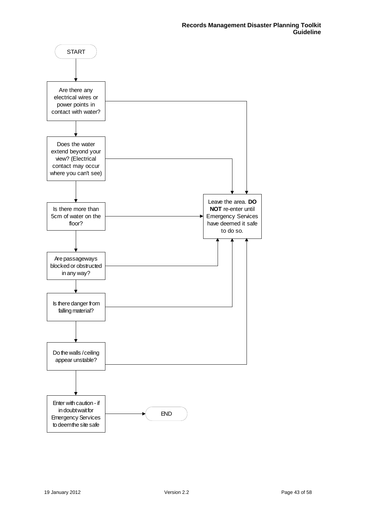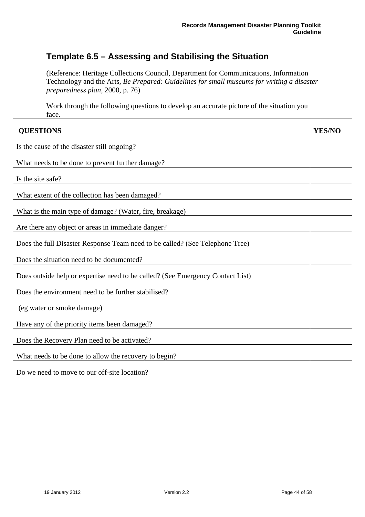# <span id="page-43-0"></span>**Template 6.5 – Assessing and Stabilising the Situation**

(Reference: Heritage Collections Council, Department for Communications, Information Technology and the Arts, *Be Prepared: Guidelines for small museums for writing a disaster preparedness plan*, 2000, p. 76)

Work through the following questions to develop an accurate picture of the situation you face.

| <b>QUESTIONS</b>                                                               | <b>YES/NO</b> |
|--------------------------------------------------------------------------------|---------------|
| Is the cause of the disaster still ongoing?                                    |               |
| What needs to be done to prevent further damage?                               |               |
|                                                                                |               |
| Is the site safe?                                                              |               |
| What extent of the collection has been damaged?                                |               |
| What is the main type of damage? (Water, fire, breakage)                       |               |
| Are there any object or areas in immediate danger?                             |               |
| Does the full Disaster Response Team need to be called? (See Telephone Tree)   |               |
| Does the situation need to be documented?                                      |               |
| Does outside help or expertise need to be called? (See Emergency Contact List) |               |
| Does the environment need to be further stabilised?                            |               |
| (eg water or smoke damage)                                                     |               |
| Have any of the priority items been damaged?                                   |               |
| Does the Recovery Plan need to be activated?                                   |               |
| What needs to be done to allow the recovery to begin?                          |               |
| Do we need to move to our off-site location?                                   |               |

 $\mathbf{r}$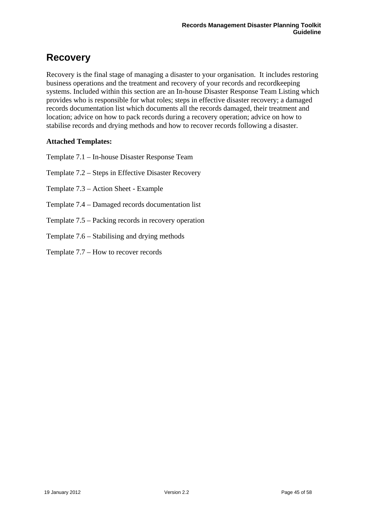# <span id="page-44-0"></span>**Recovery**

Recovery is the final stage of managing a disaster to your organisation. It includes restoring business operations and the treatment and recovery of your records and recordkeeping systems. Included within this section are an In-house Disaster Response Team Listing which provides who is responsible for what roles; steps in effective disaster recovery; a damaged records documentation list which documents all the records damaged, their treatment and location; advice on how to pack records during a recovery operation; advice on how to stabilise records and drying methods and how to recover records following a disaster.

# **Attached Templates:**

Template 7.1 – In-house Disaster Response Team

Template 7.2 – Steps in Effective Disaster Recovery

Template 7.3 – Action Sheet - Example

Template 7.4 – Damaged records documentation list

Template 7.5 – Packing records in recovery operation

Template 7.6 – Stabilising and drying methods

Template 7.7 – How to recover records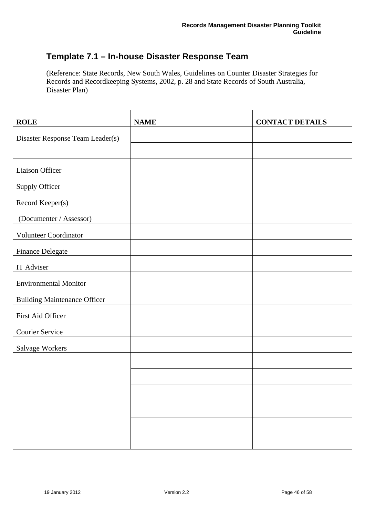# <span id="page-45-0"></span>**Template 7.1 – In-house Disaster Response Team**

(Reference: State Records, New South Wales, Guidelines on Counter Disaster Strategies for Records and Recordkeeping Systems, 2002, p. 28 and State Records of South Australia, Disaster Plan)

| <b>ROLE</b>                         | <b>NAME</b> | <b>CONTACT DETAILS</b> |
|-------------------------------------|-------------|------------------------|
| Disaster Response Team Leader(s)    |             |                        |
|                                     |             |                        |
| Liaison Officer                     |             |                        |
| <b>Supply Officer</b>               |             |                        |
| Record Keeper(s)                    |             |                        |
| (Documenter / Assessor)             |             |                        |
| Volunteer Coordinator               |             |                        |
| <b>Finance Delegate</b>             |             |                        |
| IT Adviser                          |             |                        |
| <b>Environmental Monitor</b>        |             |                        |
| <b>Building Maintenance Officer</b> |             |                        |
| First Aid Officer                   |             |                        |
| Courier Service                     |             |                        |
| Salvage Workers                     |             |                        |
|                                     |             |                        |
|                                     |             |                        |
|                                     |             |                        |
|                                     |             |                        |
|                                     |             |                        |
|                                     |             |                        |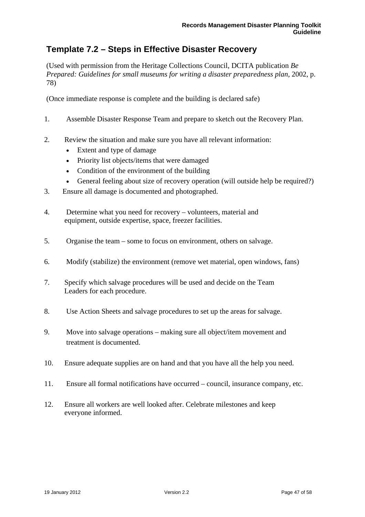# <span id="page-46-0"></span>**Template 7.2 – Steps in Effective Disaster Recovery**

(Used with permission from the Heritage Collections Council, DCITA publication *Be Prepared: Guidelines for small museums for writing a disaster preparedness plan*, 2002, p. 78)

(Once immediate response is complete and the building is declared safe)

- 1. Assemble Disaster Response Team and prepare to sketch out the Recovery Plan.
- 2. Review the situation and make sure you have all relevant information:
	- Extent and type of damage
	- Priority list objects/items that were damaged
	- Condition of the environment of the building
	- General feeling about size of recovery operation (will outside help be required?)
- 3. Ensure all damage is documented and photographed.
- 4. Determine what you need for recovery volunteers, material and equipment, outside expertise, space, freezer facilities.
- 5. Organise the team some to focus on environment, others on salvage.
- 6. Modify (stabilize) the environment (remove wet material, open windows, fans)
- 7. Specify which salvage procedures will be used and decide on the Team Leaders for each procedure.
- 8. Use Action Sheets and salvage procedures to set up the areas for salvage.
- 9. Move into salvage operations making sure all object/item movement and treatment is documented.
- 10. Ensure adequate supplies are on hand and that you have all the help you need.
- 11. Ensure all formal notifications have occurred council, insurance company, etc.
- 12. Ensure all workers are well looked after. Celebrate milestones and keep everyone informed.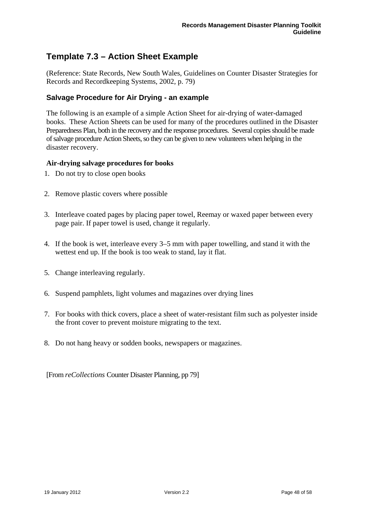# <span id="page-47-0"></span>**Template 7.3 – Action Sheet Example**

(Reference: State Records, New South Wales, Guidelines on Counter Disaster Strategies for Records and Recordkeeping Systems, 2002, p. 79)

# **Salvage Procedure for Air Drying - an example**

The following is an example of a simple Action Sheet for air-drying of water-damaged books. These Action Sheets can be used for many of the procedures outlined in the Disaster Preparedness Plan, both in the recovery and the response procedures. Several copies should be made of salvage procedure Action Sheets, so they can be given to new volunteers when helping in the disaster recovery.

### **Air-drying salvage procedures for books**

- 1. Do not try to close open books
- 2. Remove plastic covers where possible
- 3. Interleave coated pages by placing paper towel, Reemay or waxed paper between every page pair. If paper towel is used, change it regularly.
- 4. If the book is wet, interleave every 3–5 mm with paper towelling, and stand it with the wettest end up. If the book is too weak to stand, lay it flat.
- 5. Change interleaving regularly.
- 6. Suspend pamphlets, light volumes and magazines over drying lines
- 7. For books with thick covers, place a sheet of water-resistant film such as polyester inside the front cover to prevent moisture migrating to the text.
- 8. Do not hang heavy or sodden books, newspapers or magazines.

[From *reCollections* Counter Disaster Planning, pp 79]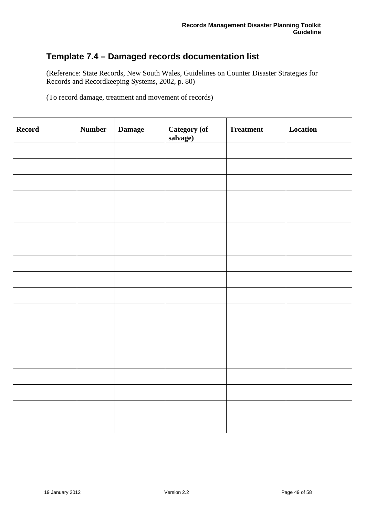# <span id="page-48-0"></span>**Template 7.4 – Damaged records documentation list**

(Reference: State Records, New South Wales, Guidelines on Counter Disaster Strategies for Records and Recordkeeping Systems, 2002, p. 80)

(To record damage, treatment and movement of records)

| Record | <b>Number</b> | <b>Damage</b> | Category (of<br>salvage) | <b>Treatment</b> | Location |
|--------|---------------|---------------|--------------------------|------------------|----------|
|        |               |               |                          |                  |          |
|        |               |               |                          |                  |          |
|        |               |               |                          |                  |          |
|        |               |               |                          |                  |          |
|        |               |               |                          |                  |          |
|        |               |               |                          |                  |          |
|        |               |               |                          |                  |          |
|        |               |               |                          |                  |          |
|        |               |               |                          |                  |          |
|        |               |               |                          |                  |          |
|        |               |               |                          |                  |          |
|        |               |               |                          |                  |          |
|        |               |               |                          |                  |          |
|        |               |               |                          |                  |          |
|        |               |               |                          |                  |          |
|        |               |               |                          |                  |          |
|        |               |               |                          |                  |          |
|        |               |               |                          |                  |          |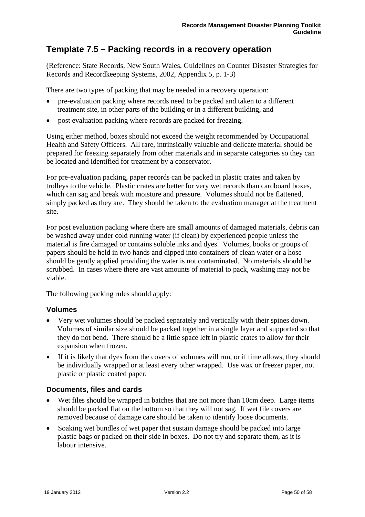# <span id="page-49-0"></span>**Template 7.5 – Packing records in a recovery operation**

(Reference: State Records, New South Wales, Guidelines on Counter Disaster Strategies for Records and Recordkeeping Systems, 2002, Appendix 5, p. 1-3)

There are two types of packing that may be needed in a recovery operation:

- pre-evaluation packing where records need to be packed and taken to a different treatment site, in other parts of the building or in a different building, and
- post evaluation packing where records are packed for freezing.

Using either method, boxes should not exceed the weight recommended by Occupational Health and Safety Officers. All rare, intrinsically valuable and delicate material should be prepared for freezing separately from other materials and in separate categories so they can be located and identified for treatment by a conservator.

For pre-evaluation packing, paper records can be packed in plastic crates and taken by trolleys to the vehicle. Plastic crates are better for very wet records than cardboard boxes, which can sag and break with moisture and pressure. Volumes should not be flattened, simply packed as they are. They should be taken to the evaluation manager at the treatment site.

For post evaluation packing where there are small amounts of damaged materials, debris can be washed away under cold running water (if clean) by experienced people unless the material is fire damaged or contains soluble inks and dyes. Volumes, books or groups of papers should be held in two hands and dipped into containers of clean water or a hose should be gently applied providing the water is not contaminated. No materials should be scrubbed. In cases where there are vast amounts of material to pack, washing may not be viable.

The following packing rules should apply:

### **Volumes**

- Very wet volumes should be packed separately and vertically with their spines down. Volumes of similar size should be packed together in a single layer and supported so that they do not bend. There should be a little space left in plastic crates to allow for their expansion when frozen.
- If it is likely that dyes from the covers of volumes will run, or if time allows, they should be individually wrapped or at least every other wrapped. Use wax or freezer paper, not plastic or plastic coated paper.

# **Documents, files and cards**

- Wet files should be wrapped in batches that are not more than 10cm deep. Large items should be packed flat on the bottom so that they will not sag. If wet file covers are removed because of damage care should be taken to identify loose documents.
- Soaking wet bundles of wet paper that sustain damage should be packed into large plastic bags or packed on their side in boxes. Do not try and separate them, as it is labour intensive.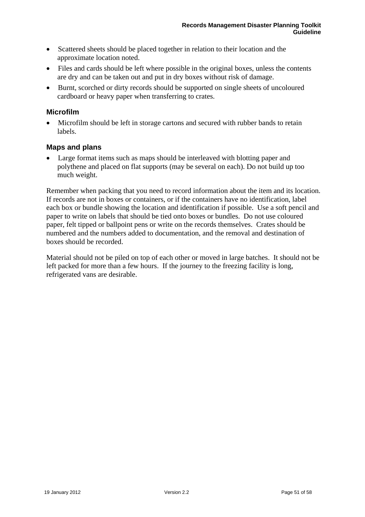- <span id="page-50-0"></span>• Scattered sheets should be placed together in relation to their location and the approximate location noted.
- Files and cards should be left where possible in the original boxes, unless the contents are dry and can be taken out and put in dry boxes without risk of damage.
- Burnt, scorched or dirty records should be supported on single sheets of uncoloured cardboard or heavy paper when transferring to crates.

### **Microfilm**

• Microfilm should be left in storage cartons and secured with rubber bands to retain labels.

### **Maps and plans**

Large format items such as maps should be interleaved with blotting paper and polythene and placed on flat supports (may be several on each). Do not build up too much weight.

Remember when packing that you need to record information about the item and its location. If records are not in boxes or containers, or if the containers have no identification, label each box or bundle showing the location and identification if possible. Use a soft pencil and paper to write on labels that should be tied onto boxes or bundles. Do not use coloured paper, felt tipped or ballpoint pens or write on the records themselves. Crates should be numbered and the numbers added to documentation, and the removal and destination of boxes should be recorded.

Material should not be piled on top of each other or moved in large batches. It should not be left packed for more than a few hours. If the journey to the freezing facility is long, refrigerated vans are desirable.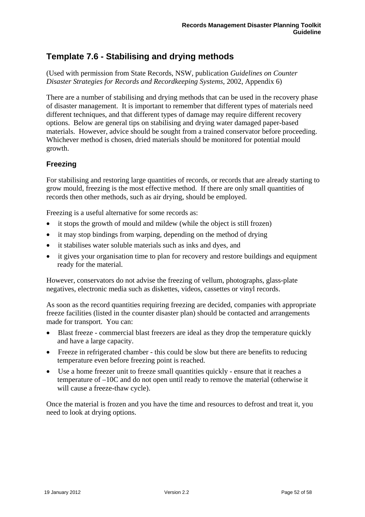# <span id="page-51-0"></span>**Template 7.6 - Stabilising and drying methods**

(Used with permission from State Records, NSW, publication *Guidelines on Counter Disaster Strategies for Records and Recordkeeping Systems*, 2002, Appendix 6)

There are a number of stabilising and drying methods that can be used in the recovery phase of disaster management. It is important to remember that different types of materials need different techniques, and that different types of damage may require different recovery options. Below are general tips on stabilising and drying water damaged paper-based materials. However, advice should be sought from a trained conservator before proceeding. Whichever method is chosen, dried materials should be monitored for potential mould growth.

# **Freezing**

For stabilising and restoring large quantities of records, or records that are already starting to grow mould, freezing is the most effective method. If there are only small quantities of records then other methods, such as air drying, should be employed.

Freezing is a useful alternative for some records as:

- it stops the growth of mould and mildew (while the object is still frozen)
- it may stop bindings from warping, depending on the method of drying
- it stabilises water soluble materials such as inks and dyes, and
- it gives your organisation time to plan for recovery and restore buildings and equipment ready for the material.

However, conservators do not advise the freezing of vellum, photographs, glass-plate negatives, electronic media such as diskettes, videos, cassettes or vinyl records.

As soon as the record quantities requiring freezing are decided, companies with appropriate freeze facilities (listed in the counter disaster plan) should be contacted and arrangements made for transport. You can:

- Blast freeze commercial blast freezers are ideal as they drop the temperature quickly and have a large capacity.
- Freeze in refrigerated chamber this could be slow but there are benefits to reducing temperature even before freezing point is reached.
- Use a home freezer unit to freeze small quantities quickly ensure that it reaches a temperature of –10C and do not open until ready to remove the material (otherwise it will cause a freeze-thaw cycle).

Once the material is frozen and you have the time and resources to defrost and treat it, you need to look at drying options.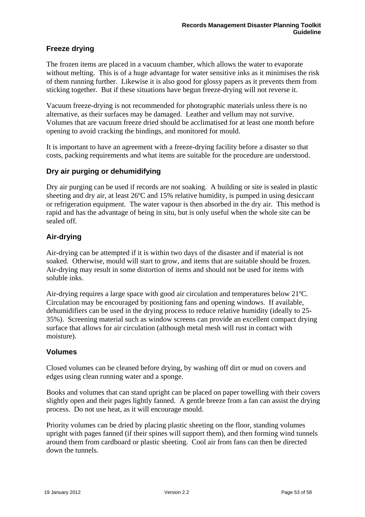# <span id="page-52-0"></span>**Freeze drying**

The frozen items are placed in a vacuum chamber, which allows the water to evaporate without melting. This is of a huge advantage for water sensitive inks as it minimises the risk of them running further. Likewise it is also good for glossy papers as it prevents them from sticking together. But if these situations have begun freeze-drying will not reverse it.

Vacuum freeze-drying is not recommended for photographic materials unless there is no alternative, as their surfaces may be damaged. Leather and vellum may not survive. Volumes that are vacuum freeze dried should be acclimatised for at least one month before opening to avoid cracking the bindings, and monitored for mould.

It is important to have an agreement with a freeze-drying facility before a disaster so that costs, packing requirements and what items are suitable for the procedure are understood.

# **Dry air purging or dehumidifying**

Dry air purging can be used if records are not soaking. A building or site is sealed in plastic sheeting and dry air, at least 26ºC and 15% relative humidity, is pumped in using desiccant or refrigeration equipment. The water vapour is then absorbed in the dry air. This method is rapid and has the advantage of being in situ, but is only useful when the whole site can be sealed off.

# **Air-drying**

Air-drying can be attempted if it is within two days of the disaster and if material is not soaked. Otherwise, mould will start to grow, and items that are suitable should be frozen. Air-drying may result in some distortion of items and should not be used for items with soluble inks.

Air-drying requires a large space with good air circulation and temperatures below 21ºC. Circulation may be encouraged by positioning fans and opening windows. If available, dehumidifiers can be used in the drying process to reduce relative humidity (ideally to 25- 35%). Screening material such as window screens can provide an excellent compact drying surface that allows for air circulation (although metal mesh will rust in contact with moisture).

### **Volumes**

Closed volumes can be cleaned before drying, by washing off dirt or mud on covers and edges using clean running water and a sponge.

Books and volumes that can stand upright can be placed on paper towelling with their covers slightly open and their pages lightly fanned. A gentle breeze from a fan can assist the drying process. Do not use heat, as it will encourage mould.

Priority volumes can be dried by placing plastic sheeting on the floor, standing volumes upright with pages fanned (if their spines will support them), and then forming wind tunnels around them from cardboard or plastic sheeting. Cool air from fans can then be directed down the tunnels.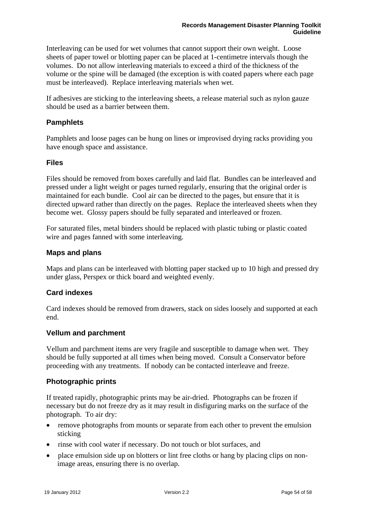<span id="page-53-0"></span>Interleaving can be used for wet volumes that cannot support their own weight. Loose sheets of paper towel or blotting paper can be placed at 1-centimetre intervals though the volumes. Do not allow interleaving materials to exceed a third of the thickness of the volume or the spine will be damaged (the exception is with coated papers where each page must be interleaved). Replace interleaving materials when wet.

If adhesives are sticking to the interleaving sheets, a release material such as nylon gauze should be used as a barrier between them.

# **Pamphlets**

Pamphlets and loose pages can be hung on lines or improvised drying racks providing you have enough space and assistance.

### **Files**

Files should be removed from boxes carefully and laid flat. Bundles can be interleaved and pressed under a light weight or pages turned regularly, ensuring that the original order is maintained for each bundle. Cool air can be directed to the pages, but ensure that it is directed upward rather than directly on the pages. Replace the interleaved sheets when they become wet. Glossy papers should be fully separated and interleaved or frozen.

For saturated files, metal binders should be replaced with plastic tubing or plastic coated wire and pages fanned with some interleaving.

### **Maps and plans**

Maps and plans can be interleaved with blotting paper stacked up to 10 high and pressed dry under glass, Perspex or thick board and weighted evenly.

### **Card indexes**

Card indexes should be removed from drawers, stack on sides loosely and supported at each end.

### **Vellum and parchment**

Vellum and parchment items are very fragile and susceptible to damage when wet. They should be fully supported at all times when being moved. Consult a Conservator before proceeding with any treatments. If nobody can be contacted interleave and freeze.

### **Photographic prints**

If treated rapidly, photographic prints may be air-dried. Photographs can be frozen if necessary but do not freeze dry as it may result in disfiguring marks on the surface of the photograph. To air dry:

- remove photographs from mounts or separate from each other to prevent the emulsion sticking
- rinse with cool water if necessary. Do not touch or blot surfaces, and
- place emulsion side up on blotters or lint free cloths or hang by placing clips on nonimage areas, ensuring there is no overlap.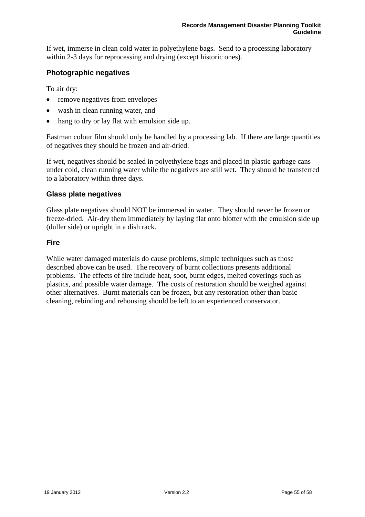<span id="page-54-0"></span>If wet, immerse in clean cold water in polyethylene bags. Send to a processing laboratory within 2-3 days for reprocessing and drying (except historic ones).

# **Photographic negatives**

To air dry:

- remove negatives from envelopes
- wash in clean running water, and
- hang to dry or lay flat with emulsion side up.

Eastman colour film should only be handled by a processing lab. If there are large quantities of negatives they should be frozen and air-dried.

If wet, negatives should be sealed in polyethylene bags and placed in plastic garbage cans under cold, clean running water while the negatives are still wet. They should be transferred to a laboratory within three days.

### **Glass plate negatives**

Glass plate negatives should NOT be immersed in water. They should never be frozen or freeze-dried. Air-dry them immediately by laying flat onto blotter with the emulsion side up (duller side) or upright in a dish rack.

# **Fire**

While water damaged materials do cause problems, simple techniques such as those described above can be used. The recovery of burnt collections presents additional problems. The effects of fire include heat, soot, burnt edges, melted coverings such as plastics, and possible water damage. The costs of restoration should be weighed against other alternatives. Burnt materials can be frozen, but any restoration other than basic cleaning, rebinding and rehousing should be left to an experienced conservator.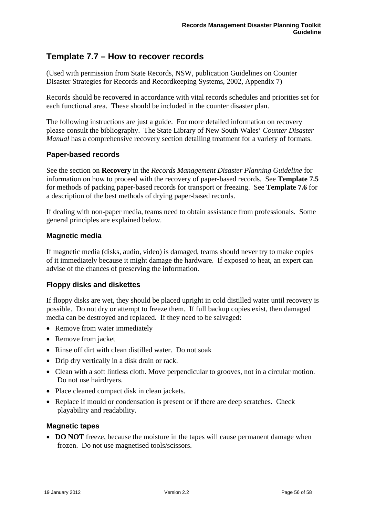# <span id="page-55-0"></span>**Template 7.7 – How to recover records**

(Used with permission from State Records, NSW, publication Guidelines on Counter Disaster Strategies for Records and Recordkeeping Systems, 2002, Appendix 7)

Records should be recovered in accordance with vital records schedules and priorities set for each functional area. These should be included in the counter disaster plan.

The following instructions are just a guide. For more detailed information on recovery please consult the bibliography. The State Library of New South Wales' *Counter Disaster Manual* has a comprehensive recovery section detailing treatment for a variety of formats.

# **Paper-based records**

See the section on **Recovery** in the *Records Management Disaster Planning Guideline* for information on how to proceed with the recovery of paper-based records. See **Template 7.5** for methods of packing paper-based records for transport or freezing. See **Template 7.6** for a description of the best methods of drying paper-based records.

If dealing with non-paper media, teams need to obtain assistance from professionals. Some general principles are explained below.

# **Magnetic media**

If magnetic media (disks, audio, video) is damaged, teams should never try to make copies of it immediately because it might damage the hardware. If exposed to heat, an expert can advise of the chances of preserving the information.

# **Floppy disks and diskettes**

If floppy disks are wet, they should be placed upright in cold distilled water until recovery is possible. Do not dry or attempt to freeze them. If full backup copies exist, then damaged media can be destroyed and replaced. If they need to be salvaged:

- Remove from water immediately
- Remove from jacket
- Rinse off dirt with clean distilled water. Do not soak
- Drip dry vertically in a disk drain or rack.
- Clean with a soft lintless cloth. Move perpendicular to grooves, not in a circular motion. Do not use hairdryers.
- Place cleaned compact disk in clean jackets.
- Replace if mould or condensation is present or if there are deep scratches. Check playability and readability.

### **Magnetic tapes**

• **DO NOT** freeze, because the moisture in the tapes will cause permanent damage when frozen. Do not use magnetised tools/scissors.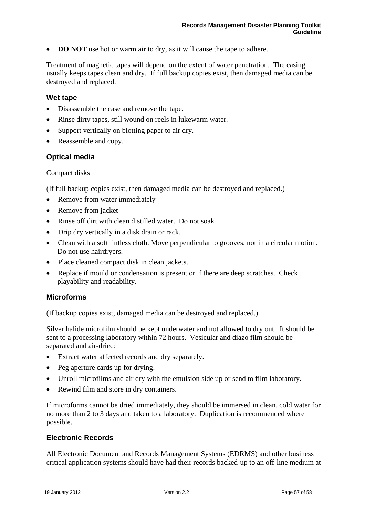<span id="page-56-0"></span>• **DO NOT** use hot or warm air to dry, as it will cause the tape to adhere.

Treatment of magnetic tapes will depend on the extent of water penetration. The casing usually keeps tapes clean and dry. If full backup copies exist, then damaged media can be destroyed and replaced.

### **Wet tape**

- Disassemble the case and remove the tape.
- Rinse dirty tapes, still wound on reels in lukewarm water.
- Support vertically on blotting paper to air dry.
- Reassemble and copy.

### **Optical media**

### Compact disks

(If full backup copies exist, then damaged media can be destroyed and replaced.)

- Remove from water immediately
- Remove from jacket
- Rinse off dirt with clean distilled water. Do not soak
- Drip dry vertically in a disk drain or rack.
- Clean with a soft lintless cloth. Move perpendicular to grooves, not in a circular motion. Do not use hairdryers.
- Place cleaned compact disk in clean jackets.
- Replace if mould or condensation is present or if there are deep scratches. Check playability and readability.

### **Microforms**

(If backup copies exist, damaged media can be destroyed and replaced.)

Silver halide microfilm should be kept underwater and not allowed to dry out. It should be sent to a processing laboratory within 72 hours. Vesicular and diazo film should be separated and air-dried:

- Extract water affected records and dry separately.
- Peg aperture cards up for drying.
- Unroll microfilms and air dry with the emulsion side up or send to film laboratory.
- Rewind film and store in dry containers.

If microforms cannot be dried immediately, they should be immersed in clean, cold water for no more than 2 to 3 days and taken to a laboratory. Duplication is recommended where possible.

### **Electronic Records**

All Electronic Document and Records Management Systems (EDRMS) and other business critical application systems should have had their records backed-up to an off-line medium at